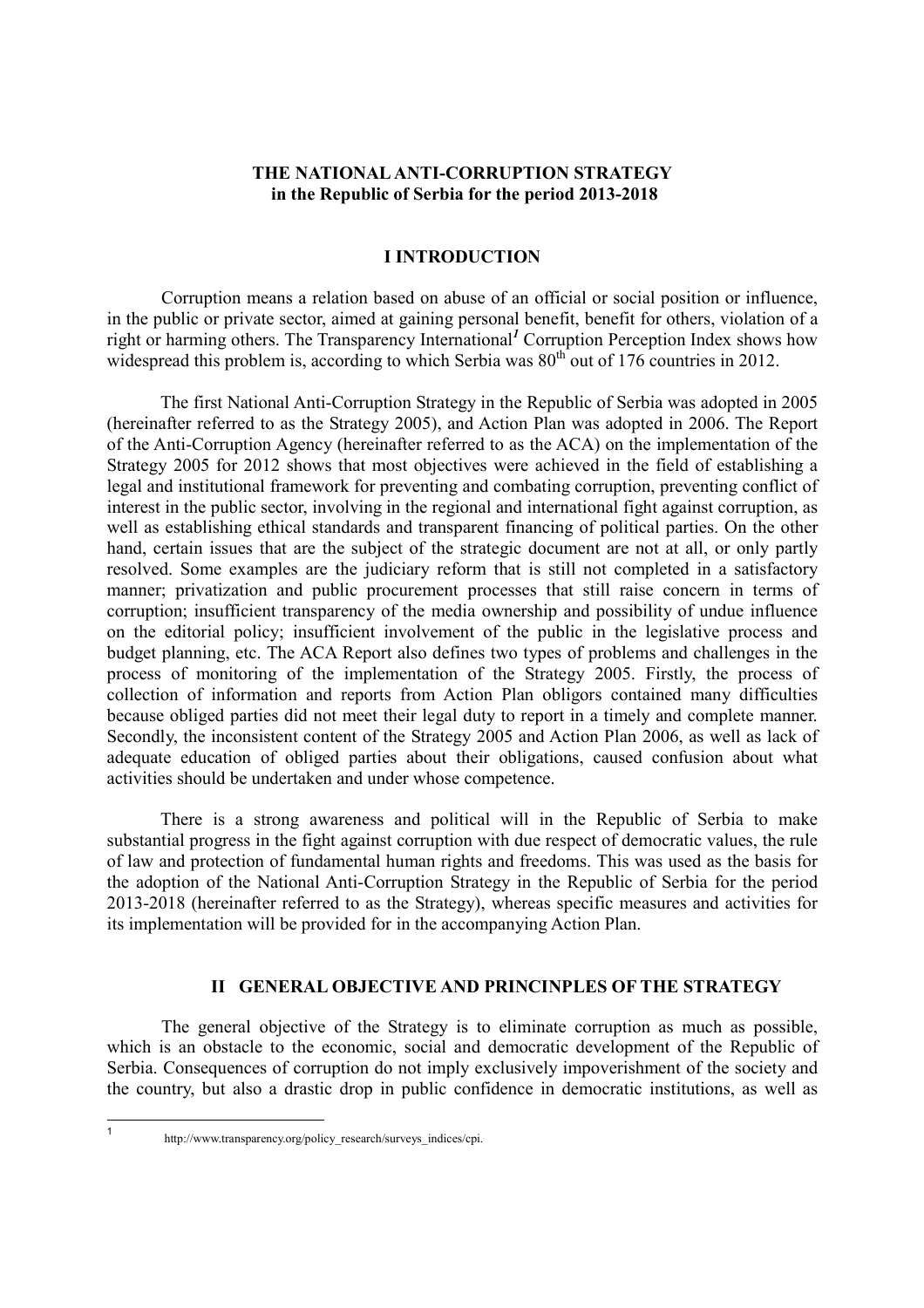# **THE NATIONAL ANTI-CORRUPTION STRATEGY in the Republic of Serbia for the period 2013-2018**

# **I INTRODUCTION**

Corruption means a relation based on abuse of an official or social position or influence, in the public or private sector, aimed at gaining personal benefit, benefit for others, violation of a right or harming others. The Transparency International*<sup>1</sup>* Corruption Perception Index shows how widespread this problem is, according to which Serbia was  $80<sup>th</sup>$  out of 176 countries in 2012.

The first National Anti-Corruption Strategy in the Republic of Serbia was adopted in 2005 (hereinafter referred to as the Strategy 2005), and Action Plan was adopted in 2006. The Report of the Anti-Corruption Agency (hereinafter referred to as the ACA) on the implementation of the Strategy 2005 for 2012 shows that most objectives were achieved in the field of establishing a legal and institutional framework for preventing and combating corruption, preventing conflict of interest in the public sector, involving in the regional and international fight against corruption, as well as establishing ethical standards and transparent financing of political parties. On the other hand, certain issues that are the subject of the strategic document are not at all, or only partly resolved. Some examples are the judiciary reform that is still not completed in a satisfactory manner; privatization and public procurement processes that still raise concern in terms of corruption; insufficient transparency of the media ownership and possibility of undue influence on the editorial policy; insufficient involvement of the public in the legislative process and budget planning, etc. The ACA Report also defines two types of problems and challenges in the process of monitoring of the implementation of the Strategy 2005. Firstly, the process of collection of information and reports from Action Plan obligors contained many difficulties because obliged parties did not meet their legal duty to report in a timely and complete manner. Secondly, the inconsistent content of the Strategy 2005 and Action Plan 2006, as well as lack of adequate education of obliged parties about their obligations, caused confusion about what activities should be undertaken and under whose competence.

There is a strong awareness and political will in the Republic of Serbia to make substantial progress in the fight against corruption with due respect of democratic values, the rule of law and protection of fundamental human rights and freedoms. This was used as the basis for the adoption of the National Anti-Corruption Strategy in the Republic of Serbia for the period 2013-2018 (hereinafter referred to as the Strategy), whereas specific measures and activities for its implementation will be provided for in the accompanying Action Plan.

# **II GENERAL OBJECTIVE AND PRINCINPLES OF THE STRATEGY**

The general objective of the Strategy is to eliminate corruption as much as possible, which is an obstacle to the economic, social and democratic development of the Republic of Serbia. Consequences of corruption do not imply exclusively impoverishment of the society and the country, but also a drastic drop in public confidence in democratic institutions, as well as

 $\frac{1}{1}$ 

http://www.transparency.org/policy\_research/surveys\_indices/cpi.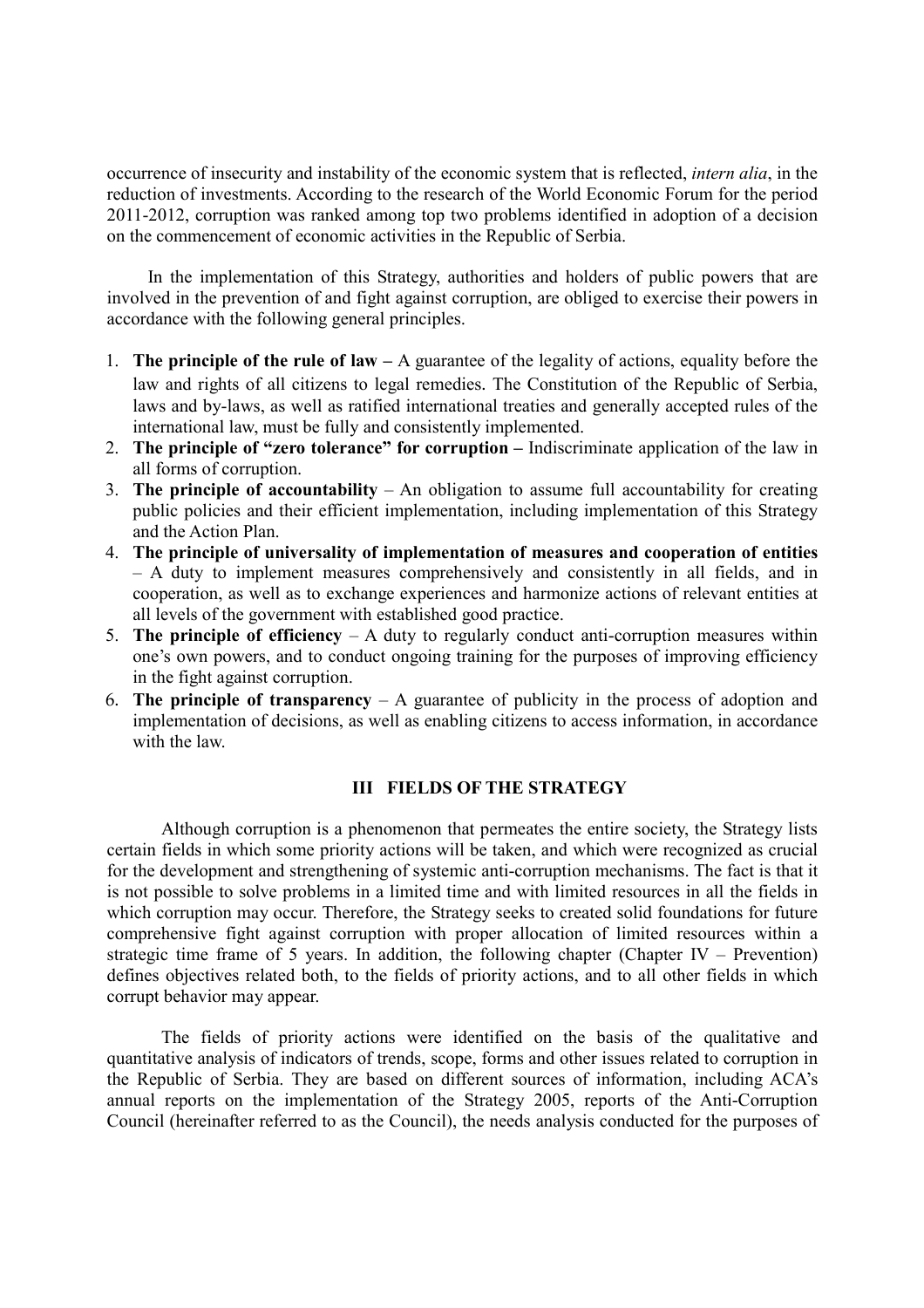occurrence of insecurity and instability of the economic system that is reflected, *intern alia*, in the reduction of investments. According to the research of the World Economic Forum for the period 2011-2012, corruption was ranked among top two problems identified in adoption of a decision on the commencement of economic activities in the Republic of Serbia.

In the implementation of this Strategy, authorities and holders of public powers that are involved in the prevention of and fight against corruption, are obliged to exercise their powers in accordance with the following general principles.

- 1. **The principle of the rule of law** A guarantee of the legality of actions, equality before the law and rights of all citizens to legal remedies. The Constitution of the Republic of Serbia, laws and by-laws, as well as ratified international treaties and generally accepted rules of the international law, must be fully and consistently implemented.
- 2. **The principle of "zero tolerance" for corruption –** Indiscriminate application of the law in all forms of corruption.
- 3. **The principle of accountability**  An obligation to assume full accountability for creating public policies and their efficient implementation, including implementation of this Strategy and the Action Plan.
- 4. **The principle of universality of implementation of measures and cooperation of entities**  – A duty to implement measures comprehensively and consistently in all fields, and in cooperation, as well as to exchange experiences and harmonize actions of relevant entities at all levels of the government with established good practice.
- 5. **The principle of efficiency**  A duty to regularly conduct anti-corruption measures within one's own powers, and to conduct ongoing training for the purposes of improving efficiency in the fight against corruption.
- 6. **The principle of transparency**  A guarantee of publicity in the process of adoption and implementation of decisions, as well as enabling citizens to access information, in accordance with the law.

# **III FIELDS OF THE STRATEGY**

Although corruption is a phenomenon that permeates the entire society, the Strategy lists certain fields in which some priority actions will be taken, and which were recognized as crucial for the development and strengthening of systemic anti-corruption mechanisms. The fact is that it is not possible to solve problems in a limited time and with limited resources in all the fields in which corruption may occur. Therefore, the Strategy seeks to created solid foundations for future comprehensive fight against corruption with proper allocation of limited resources within a strategic time frame of 5 years. In addition, the following chapter (Chapter IV – Prevention) defines objectives related both, to the fields of priority actions, and to all other fields in which corrupt behavior may appear.

The fields of priority actions were identified on the basis of the qualitative and quantitative analysis of indicators оf trends, scope, forms and other issues related to corruption in the Republic of Serbia. They are based on different sources of information, including ACA's annual reports on the implementation of the Strategy 2005, reports of the Anti-Corruption Council (hereinafter referred to as the Council), the needs analysis conducted for the purposes of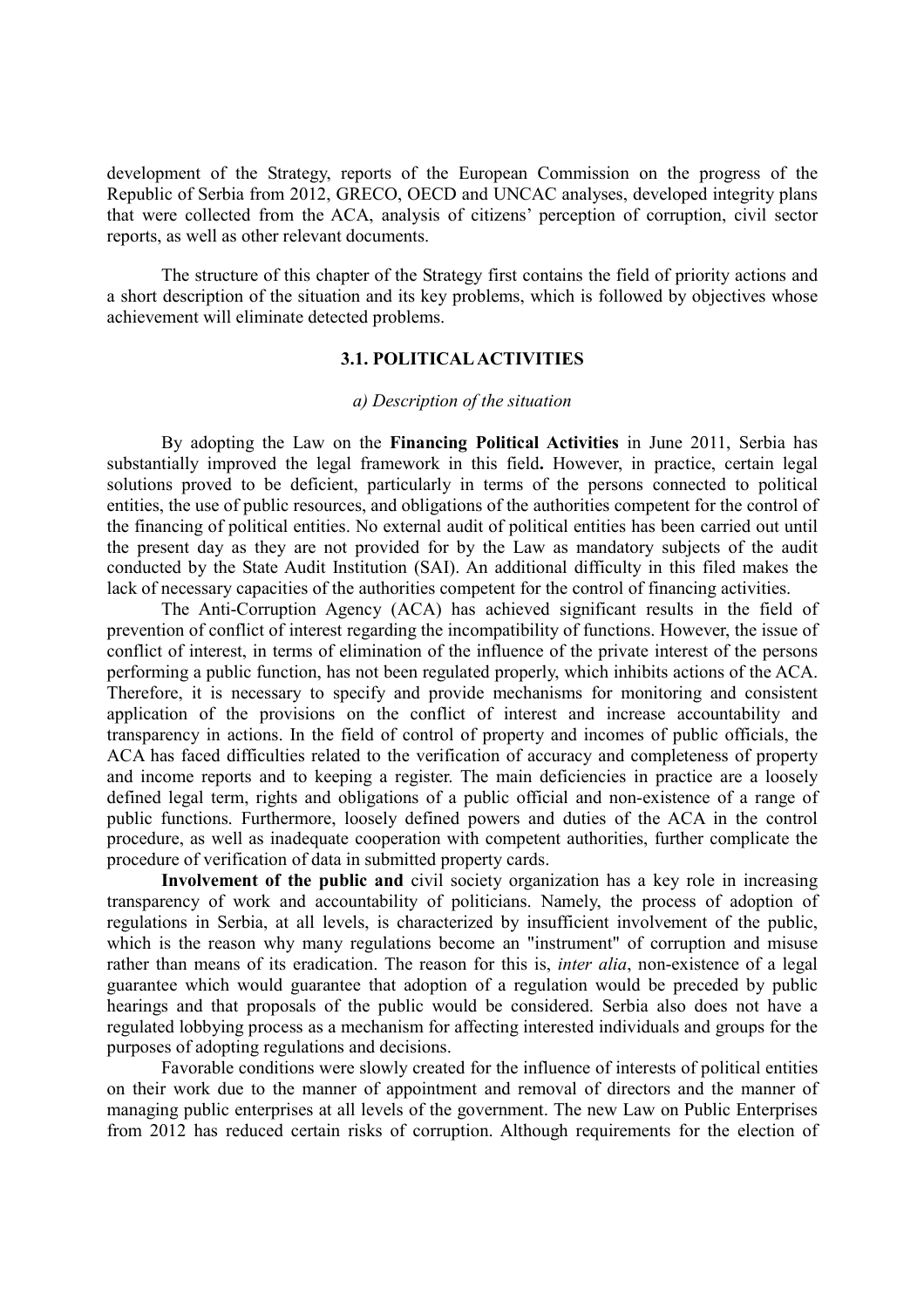development of the Strategy, reports of the European Commission on the progress of the Republic of Serbia from 2012, GRECO, OECD and UNCAC analyses, developed integrity plans that were collected from the ACA, analysis of citizens' perception of corruption, civil sector reports, as well as other relevant documents.

The structure of this chapter of the Strategy first contains the field of priority actions and a short description of the situation and its key problems, which is followed by objectives whose achievement will eliminate detected problems.

# **3.1. POLITICAL ACTIVITIES**

## *а) Description of the situation*

By adopting the Law on the **Financing Political Activities** in June 2011, Serbia has substantially improved the legal framework in this field**.** However, in practice, certain legal solutions proved to be deficient, particularly in terms of the persons connected to political entities, the use of public resources, and obligations of the authorities competent for the control of the financing of political entities. No external audit of political entities has been carried out until the present day as they are not provided for by the Law as mandatory subjects of the audit conducted by the State Audit Institution (SAI). An additional difficulty in this filed makes the lack of necessary capacities of the authorities competent for the control of financing activities.

The Anti-Corruption Agency (ACA) has achieved significant results in the field of prevention of conflict of interest regarding the incompatibility of functions. However, the issue of conflict of interest, in terms of elimination of the influence of the private interest of the persons performing a public function, has not been regulated properly, which inhibits actions of the ACA. Therefore, it is necessary to specify and provide mechanisms for monitoring and consistent application of the provisions on the conflict of interest and increase accountability and transparency in actions. In the field of control of property and incomes of public officials, the ACA has faced difficulties related to the verification of accuracy and completeness of property and income reports and to keeping a register. The main deficiencies in practice are a loosely defined legal term, rights and obligations of a public official and non-existence of a range of public functions. Furthermore, loosely defined powers and duties of the ACA in the control procedure, as well as inadequate cooperation with competent authorities, further complicate the procedure of verification of data in submitted property cards.

**Involvement of the public and** civil society organization has a key role in increasing transparency of work and accountability of politicians. Namely, the process of adoption of regulations in Serbia, at all levels, is characterized by insufficient involvement of the public, which is the reason why many regulations become an "instrument" of corruption and misuse rather than means of its eradication. The reason for this is, *inter alia*, non-existence of a legal guarantee which would guarantee that adoption of a regulation would be preceded by public hearings and that proposals of the public would be considered. Serbia also does not have a regulated lobbying process as a mechanism for affecting interested individuals and groups for the purposes of adopting regulations and decisions.

Favorable conditions were slowly created for the influence of interests of political entities on their work due to the manner of appointment and removal of directors and the manner of managing public enterprises at all levels of the government. The new Law on Public Enterprises from 2012 has reduced certain risks of corruption. Although requirements for the election of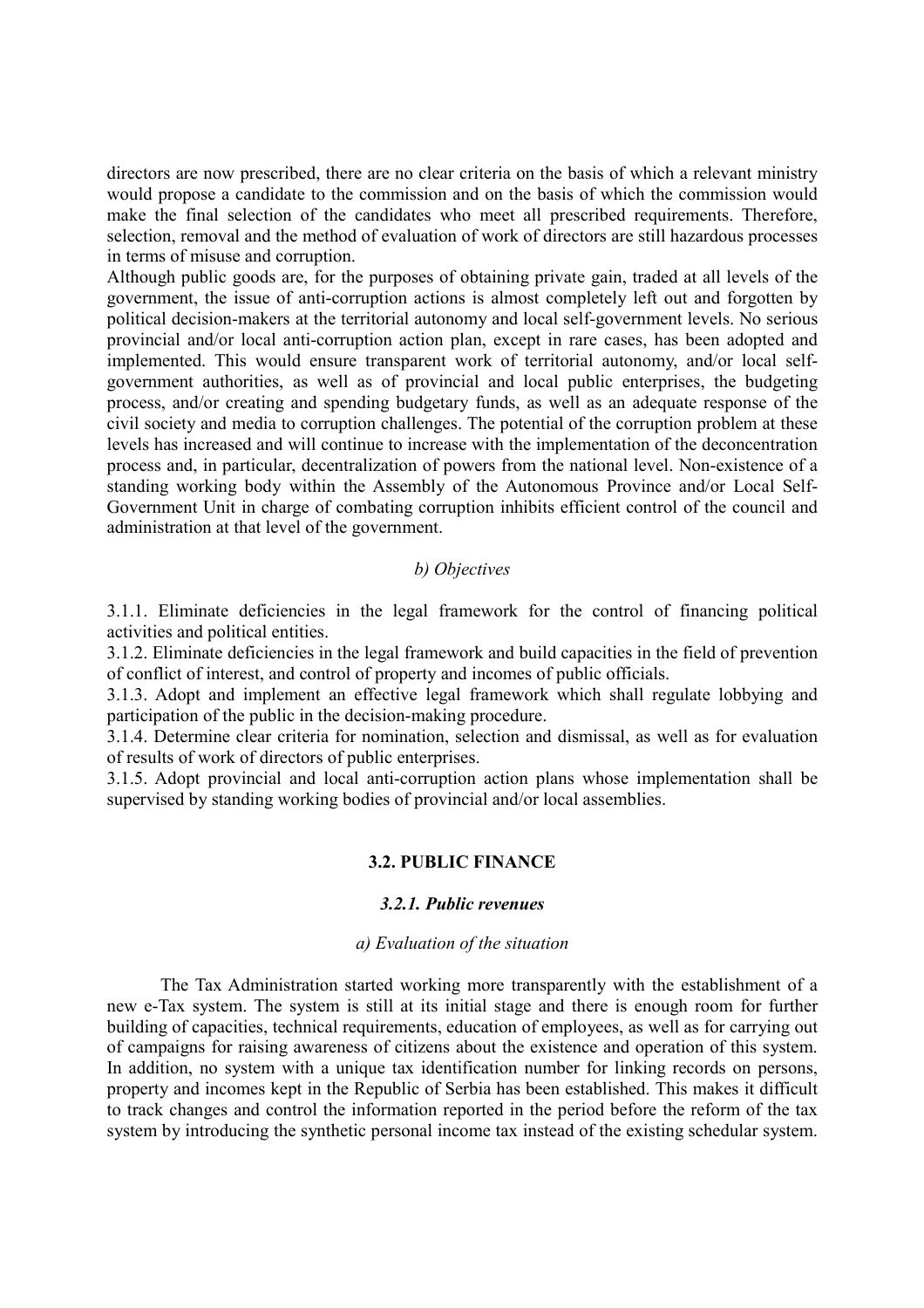directors are now prescribed, there are no clear criteria on the basis of which a relevant ministry would propose a candidate to the commission and on the basis of which the commission would make the final selection of the candidates who meet all prescribed requirements. Therefore, selection, removal and the method of evaluation of work of directors are still hazardous processes in terms of misuse and corruption.

Although public goods are, for the purposes of obtaining private gain, traded at all levels of the government, the issue of anti-corruption actions is almost completely left out and forgotten by political decision-makers at the territorial autonomy and local self-government levels. No serious provincial and/or local anti-corruption action plan, except in rare cases, has been adopted and implemented. This would ensure transparent work of territorial autonomy, and/or local selfgovernment authorities, as well as of provincial and local public enterprises, the budgeting process, and/or creating and spending budgetary funds, as well as an adequate response of the civil society and media to corruption challenges. The potential of the corruption problem at these levels has increased and will continue to increase with the implementation of the deconcentration process and, in particular, decentralization of powers from the national level. Non-existence of a standing working body within the Assembly of the Autonomous Province and/or Local Self-Government Unit in charge of combating corruption inhibits efficient control of the council and administration at that level of the government.

# *b) Objectives*

3.1.1. Eliminate deficiencies in the legal framework for the control of financing political activities and political entities.

3.1.2. Eliminate deficiencies in the legal framework and build capacities in the field of prevention of conflict of interest, and control of property and incomes of public officials.

3.1.3. Adopt and implement an effective legal framework which shall regulate lobbying and participation of the public in the decision-making procedure.

3.1.4. Determine clear criteria for nomination, selection and dismissal, as well as for evaluation of results of work of directors of public enterprises.

3.1.5. Adopt provincial and local anti-corruption action plans whose implementation shall be supervised by standing working bodies of provincial and/or local assemblies.

# **3.2. PUBLIC FIACE**

#### *3.2.1. Public revenues*

#### *а) Evaluation of the situation*

The Tax Administration started working more transparently with the establishment of a new e-Tax system. The system is still at its initial stage and there is enough room for further building of capacities, technical requirements, education of employees, as well as for carrying out of campaigns for raising awareness of citizens about the existence and operation of this system. In addition, no system with a unique tax identification number for linking records on persons, property and incomes kept in the Republic of Serbia has been established. This makes it difficult to track changes and control the information reported in the period before the reform of the tax system by introducing the synthetic personal income tax instead of the existing schedular system.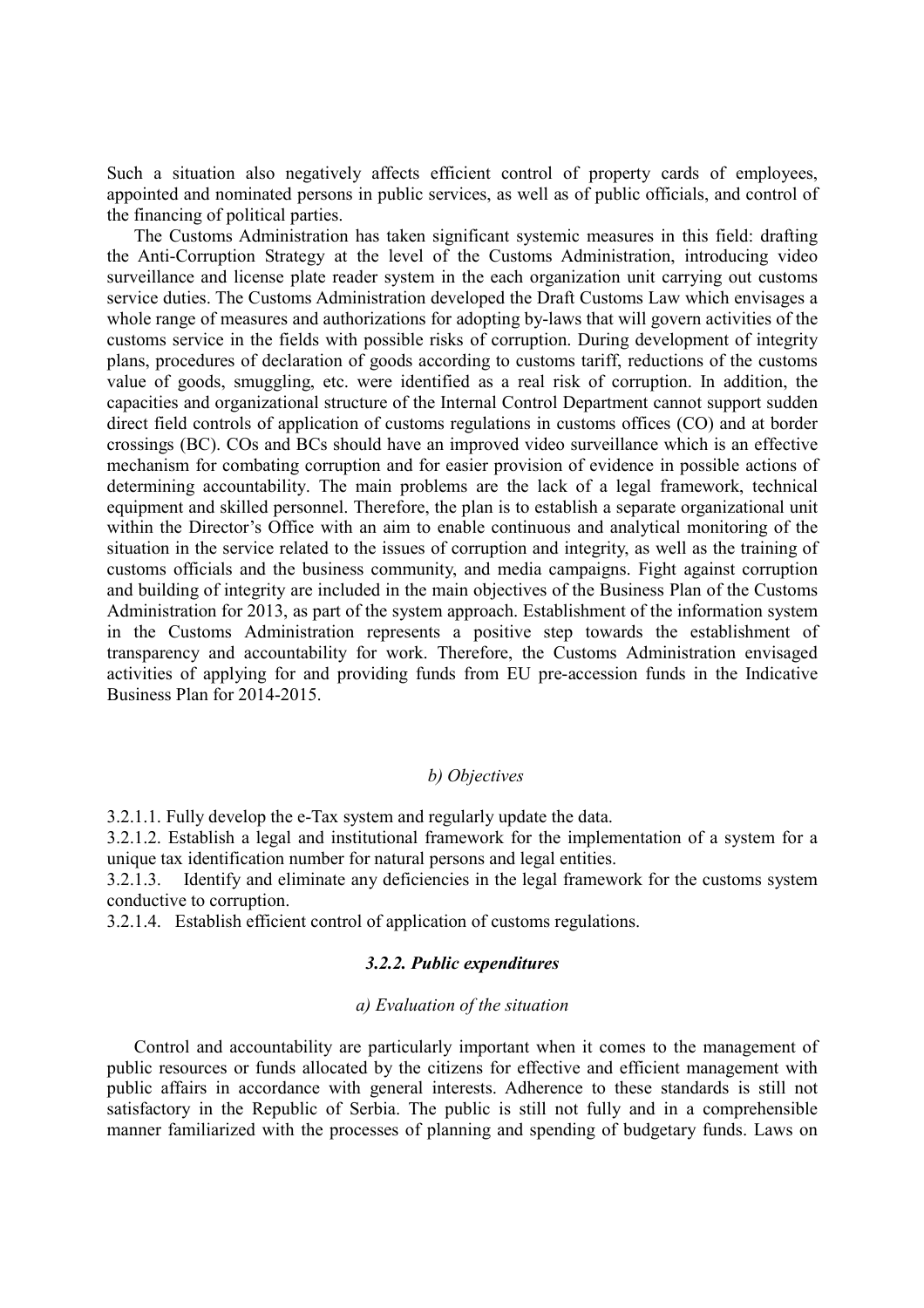Such a situation also negatively affects efficient control of property cards of employees, appointed and nominated persons in public services, as well as of public officials, and control of the financing of political parties.

The Customs Administration has taken significant systemic measures in this field: drafting the Anti-Corruption Strategy at the level of the Customs Administration, introducing video surveillance and license plate reader system in the each organization unit carrying out customs service duties. The Customs Administration developed the Draft Customs Law which envisages a whole range of measures and authorizations for adopting by-laws that will govern activities of the customs service in the fields with possible risks of corruption. During development of integrity plans, procedures of declaration of goods according to customs tariff, reductions of the customs value of goods, smuggling, etc. were identified as a real risk of corruption. In addition, the capacities and organizational structure of the Internal Control Department cannot support sudden direct field controls of application of customs regulations in customs offices (CO) and at border crossings (BC). COs and BCs should have an improved video surveillance which is an effective mechanism for combating corruption and for easier provision of evidence in possible actions of determining accountability. The main problems are the lack of a legal framework, technical equipment and skilled personnel. Therefore, the plan is to establish a separate organizational unit within the Director's Office with an aim to enable continuous and analytical monitoring of the situation in the service related to the issues of corruption and integrity, as well as the training of customs officials and the business community, and media campaigns. Fight against corruption and building of integrity are included in the main objectives of the Business Plan of the Customs Administration for 2013, as part of the system approach. Establishment of the information system in the Customs Administration represents a positive step towards the establishment of transparency and accountability for work. Therefore, the Customs Administration envisaged activities of applying for and providing funds from EU pre-accession funds in the Indicative Business Plan for 2014-2015.

# *b) Objectives*

3.2.1.1. Fully develop the e-Tax system and regularly update the data.

3.2.1.2. Establish a legal and institutional framework for the implementation of a system for a unique tax identification number for natural persons and legal entities.

3.2.1.3. Identify and eliminate any deficiencies in the legal framework for the customs system conductive to corruption.

3.2.1.4. Establish efficient control of application of customs regulations.

# *3.2.2. Public expenditures*

#### *а) Evaluation of the situation*

Control and accountability are particularly important when it comes to the management of public resources or funds allocated by the citizens for effective and efficient management with public affairs in accordance with general interests. Adherence to these standards is still not satisfactory in the Republic of Serbia. The public is still not fully and in a comprehensible manner familiarized with the processes of planning and spending of budgetary funds. Laws on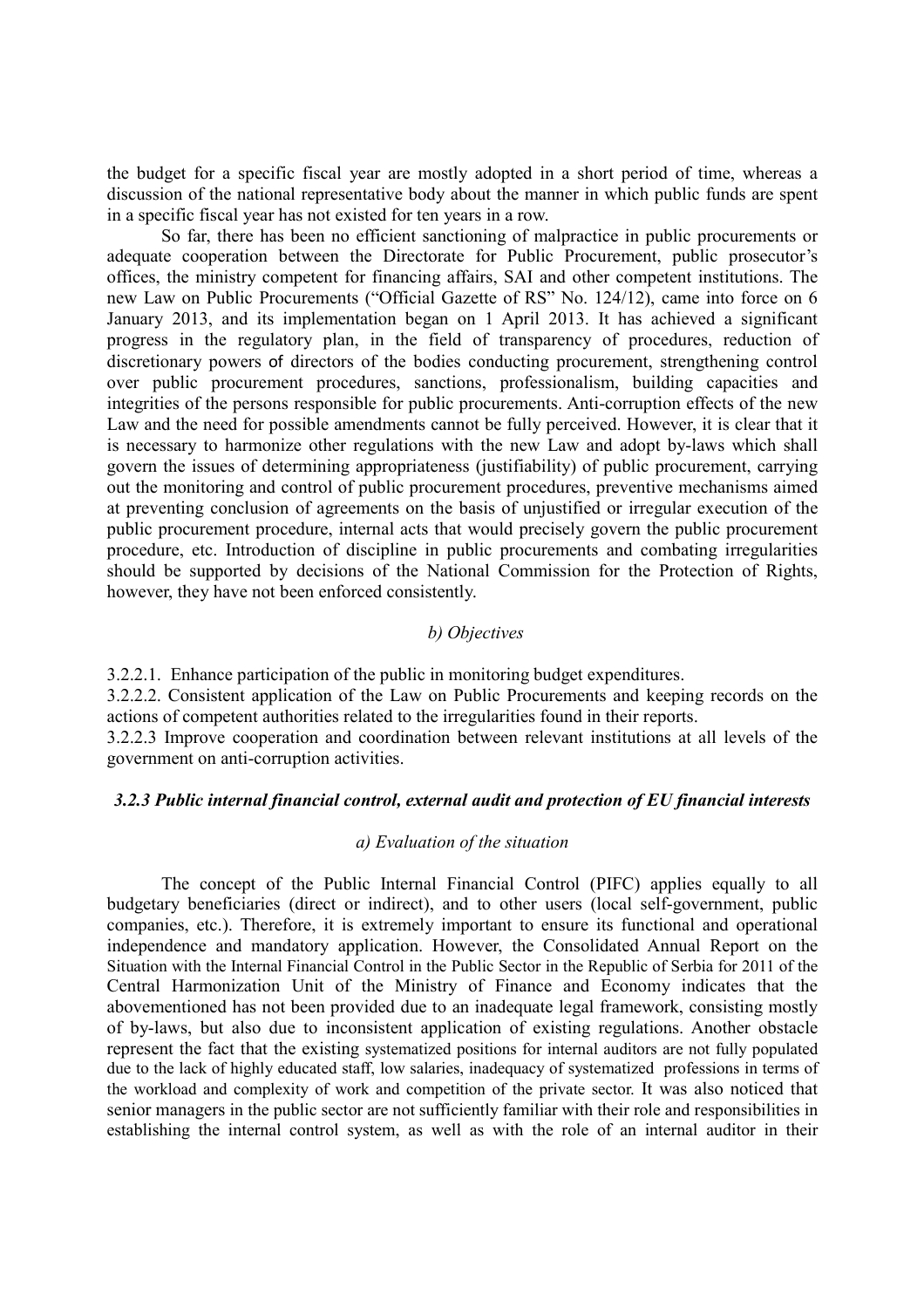the budget for a specific fiscal year are mostly adopted in a short period of time, whereas a discussion of the national representative body about the manner in which public funds are spent in a specific fiscal year has not existed for ten years in a row.

 So far, there has been no efficient sanctioning of malpractice in public procurements or adequate cooperation between the Directorate for Public Procurement, public prosecutor's offices, the ministry competent for financing affairs, SAI and other competent institutions. The new Law on Public Procurements ("Official Gazette of RS" No. 124/12), came into force on 6 January 2013, and its implementation began on 1 April 2013. It has achieved a significant progress in the regulatory plan, in the field of transparency of procedures, reduction of discretionary powers of directors of the bodies conducting procurement, strengthening control over public procurement procedures, sanctions, professionalism, building capacities and integrities of the persons responsible for public procurements. Anti-corruption effects of the new Law and the need for possible amendments cannot be fully perceived. However, it is clear that it is necessary to harmonize other regulations with the new Law and adopt by-laws which shall govern the issues of determining appropriateness (justifiability) of public procurement, carrying out the monitoring and control of public procurement procedures, preventive mechanisms aimed at preventing conclusion of agreements on the basis of unjustified or irregular execution of the public procurement procedure, internal acts that would precisely govern the public procurement procedure, etc. Introduction of discipline in public procurements and combating irregularities should be supported by decisions of the National Commission for the Protection of Rights, however, they have not been enforced consistently.

## *b) Objectives*

3.2.2.1. Enhance participation of the public in monitoring budget expenditures.

3.2.2.2. Consistent application of the Law on Public Procurements and keeping records on the actions of competent authorities related to the irregularities found in their reports.

3.2.2.3 Improve cooperation and coordination between relevant institutions at all levels of the government on anti-corruption activities.

## *3.2.3 Public internal financial control, external audit and protection of EU financial interests*

# *а) Evaluation of the situation*

The concept of the Public Internal Financial Control (PIFC) applies equally to all budgetary beneficiaries (direct or indirect), and to other users (local self-government, public companies, etc.). Therefore, it is extremely important to ensure its functional and operational independence and mandatory application. However, the Consolidated Annual Report on the Situation with the Internal Financial Control in the Public Sector in the Republic of Serbia for 2011 of the Central Harmonization Unit of the Ministry of Finance and Economy indicates that the abovementioned has not been provided due to an inadequate legal framework, consisting mostly of by-laws, but also due to inconsistent application of existing regulations. Another obstacle represent the fact that the existing systematized positions for internal auditors are not fully populated due to the lack of highly educated staff, low salaries, inadequacy of systematized professions in terms of the workload and complexity of work and competition of the private sector. It was also noticed that senior managers in the public sector are not sufficiently familiar with their role and responsibilities in establishing the internal control system, as well as with the role of an internal auditor in their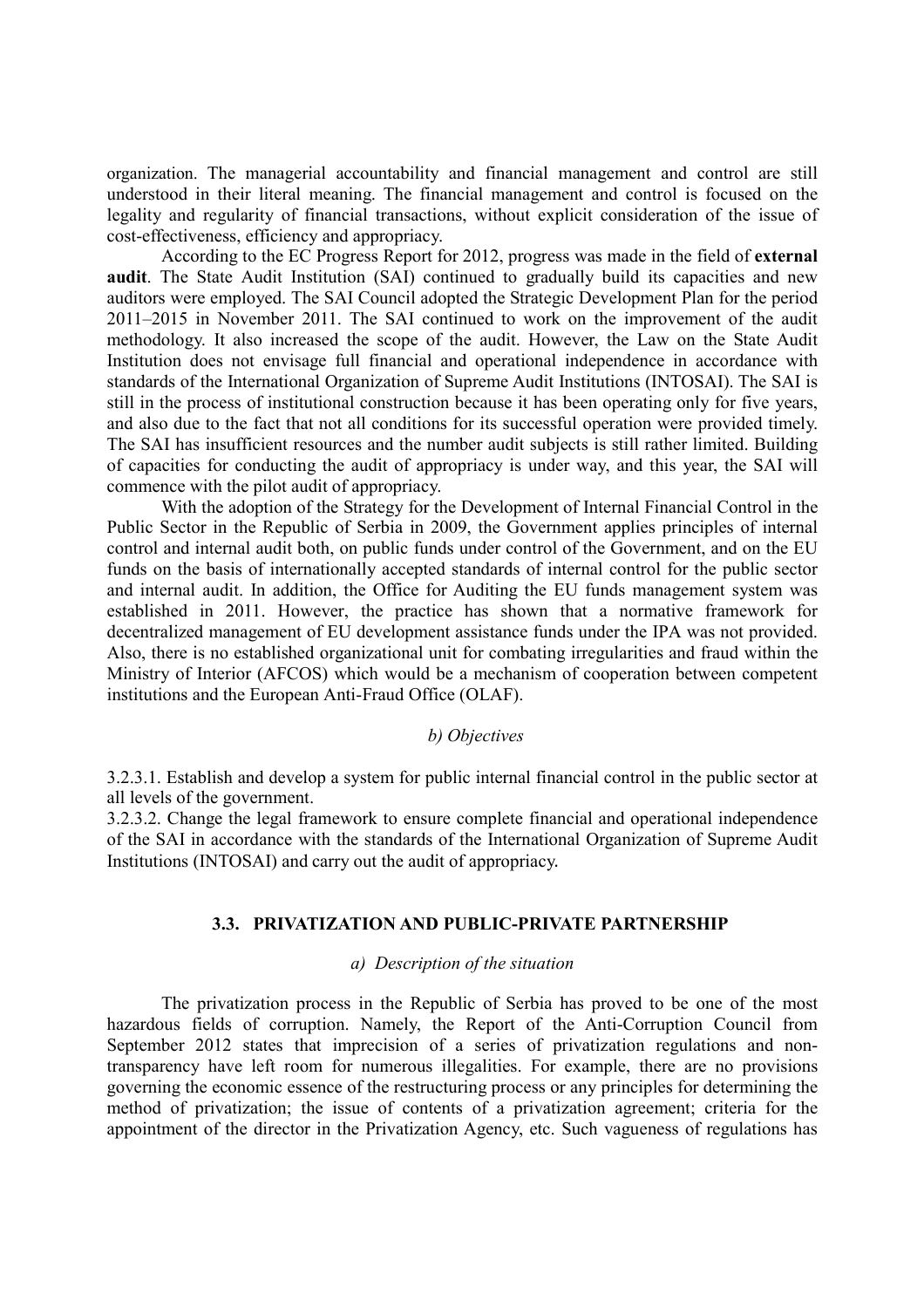organization. The managerial accountability and financial management and control are still understood in their literal meaning. The financial management and control is focused on the legality and regularity of financial transactions, without explicit consideration of the issue of cost-effectiveness, efficiency and appropriacy.

According to the EC Progress Report for 2012, progress was made in the field of **external audit**. The State Audit Institution (SAI) continued to gradually build its capacities and new auditors were employed. The SAI Council adopted the Strategic Development Plan for the period 2011–2015 in November 2011. The SAI continued to work on the improvement of the audit methodology. It also increased the scope of the audit. However, the Law on the State Audit Institution does not envisage full financial and operational independence in accordance with standards of the International Organization of Supreme Audit Institutions (INTOSAI). The SAI is still in the process of institutional construction because it has been operating only for five years, and also due to the fact that not all conditions for its successful operation were provided timely. The SAI has insufficient resources and the number audit subjects is still rather limited. Building of capacities for conducting the audit of appropriacy is under way, and this year, the SAI will commence with the pilot audit of appropriacy.

With the adoption of the Strategy for the Development of Internal Financial Control in the Public Sector in the Republic of Serbia in 2009, the Government applies principles of internal control and internal audit both, on public funds under control of the Government, and on the EU funds on the basis of internationally accepted standards of internal control for the public sector and internal audit. In addition, the Office for Auditing the EU funds management system was established in 2011. However, the practice has shown that a normative framework for decentralized management of EU development assistance funds under the IPA was not provided. Also, there is no established organizational unit for combating irregularities and fraud within the Ministry of Interior (AFCOS) which would be a mechanism of cooperation between competent institutions and the European Anti-Fraud Office (OLAF).

# *b) Objectives*

3.2.3.1. Establish and develop a system for public internal financial control in the public sector at all levels of the government.

3.2.3.2. Change the legal framework to ensure complete financial and operational independence of the SAI in accordance with the standards of the International Organization of Supreme Audit Institutions (INTOSAI) and carry out the audit of appropriacy.

### **3.3. PRIVATIZATION AND PUBLIC-PRIVATE PARTNERSHIP**

# *а) Description of the situation*

The privatization process in the Republic of Serbia has proved to be one of the most hazardous fields of corruption. Namely, the Report of the Anti-Corruption Council from September 2012 states that imprecision of a series of privatization regulations and nontransparency have left room for numerous illegalities. For example, there are no provisions governing the economic essence of the restructuring process or any principles for determining the method of privatization; the issue of contents of a privatization agreement; criteria for the appointment of the director in the Privatization Agency, etc. Such vagueness of regulations has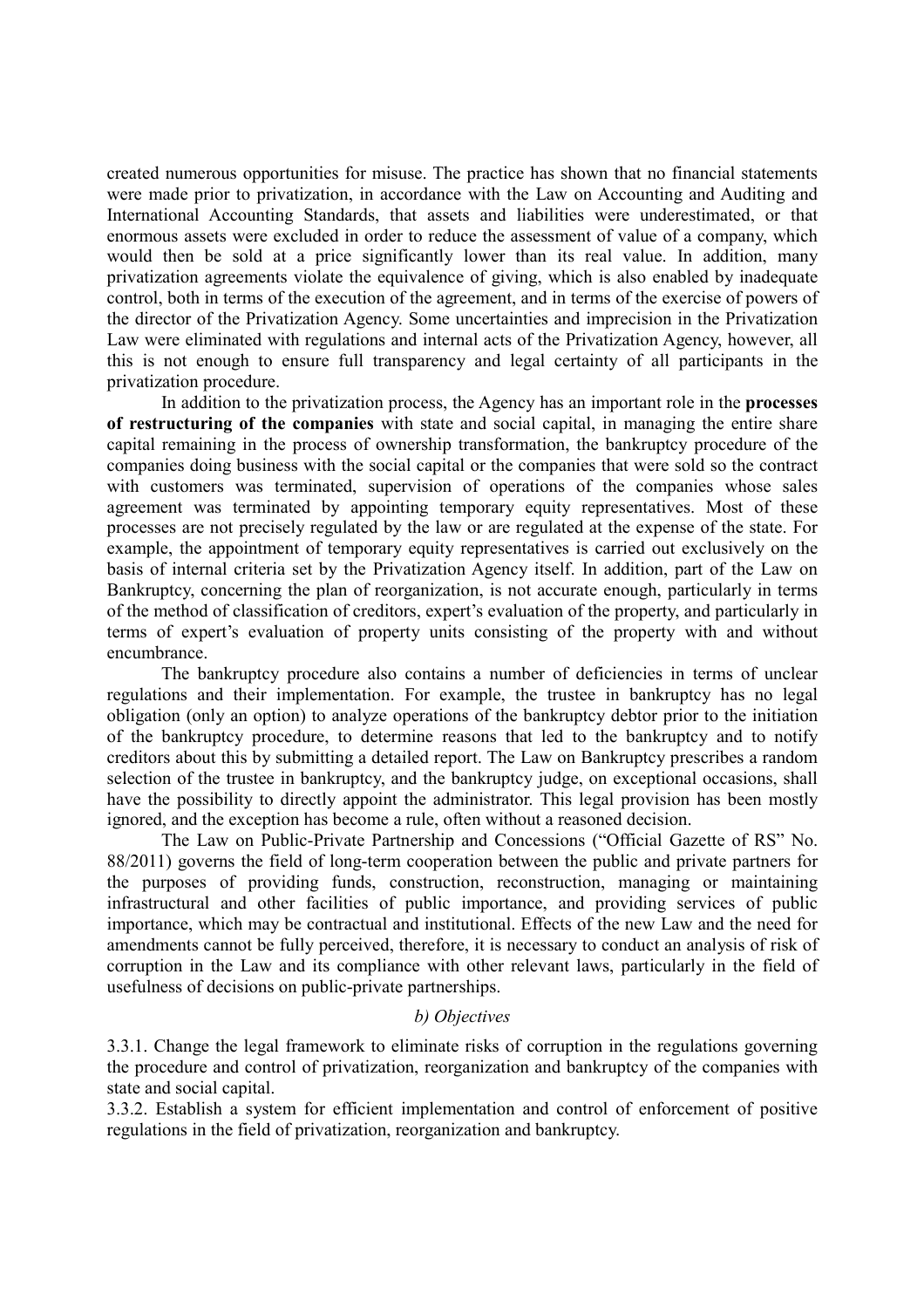created numerous opportunities for misuse. The practice has shown that no financial statements were made prior to privatization, in accordance with the Law on Accounting and Auditing and International Accounting Standards, that assets and liabilities were underestimated, or that enormous assets were excluded in order to reduce the assessment of value of a company, which would then be sold at a price significantly lower than its real value. In addition, many privatization agreements violate the equivalence of giving, which is also enabled by inadequate control, both in terms of the execution of the agreement, and in terms of the exercise of powers of the director of the Privatization Agency. Some uncertainties and imprecision in the Privatization Law were eliminated with regulations and internal acts of the Privatization Agency, however, all this is not enough to ensure full transparency and legal certainty of all participants in the privatization procedure.

In addition to the privatization process, the Agency has an important role in the **processes of restructuring of the companies** with state and social capital, in managing the entire share capital remaining in the process of ownership transformation, the bankruptcy procedure of the companies doing business with the social capital or the companies that were sold so the contract with customers was terminated, supervision of operations of the companies whose sales agreement was terminated by appointing temporary equity representatives. Most of these processes are not precisely regulated by the law or are regulated at the expense of the state. For example, the appointment of temporary equity representatives is carried out exclusively on the basis of internal criteria set by the Privatization Agency itself. In addition, part of the Law on Bankruptcy, concerning the plan of reorganization, is not accurate enough, particularly in terms of the method of classification of creditors, expert's evaluation of the property, and particularly in terms of expert's evaluation of property units consisting of the property with and without encumbrance.

The bankruptcy procedure also contains a number of deficiencies in terms of unclear regulations and their implementation. For example, the trustee in bankruptcy has no legal obligation (only an option) to analyze operations of the bankruptcy debtor prior to the initiation of the bankruptcy procedure, to determine reasons that led to the bankruptcy and to notify creditors about this by submitting a detailed report. The Law on Bankruptcy prescribes a random selection of the trustee in bankruptcy, and the bankruptcy judge, on exceptional occasions, shall have the possibility to directly appoint the administrator. This legal provision has been mostly ignored, and the exception has become a rule, often without a reasoned decision.

The Law on Public-Private Partnership and Concessions ("Official Gazette of RS" No. 88/2011) governs the field of long-term cooperation between the public and private partners for the purposes of providing funds, construction, reconstruction, managing or maintaining infrastructural and other facilities of public importance, and providing services of public importance, which may be contractual and institutional. Effects of the new Law and the need for amendments cannot be fully perceived, therefore, it is necessary to conduct an analysis of risk of corruption in the Law and its compliance with other relevant laws, particularly in the field of usefulness of decisions on public-private partnerships.

# *b) Objectives*

3.3.1. Change the legal framework to eliminate risks of corruption in the regulations governing the procedure and control of privatization, reorganization and bankruptcy of the companies with state and social capital.

3.3.2. Establish a system for efficient implementation and control of enforcement of positive regulations in the field of privatization, reorganization and bankruptcy.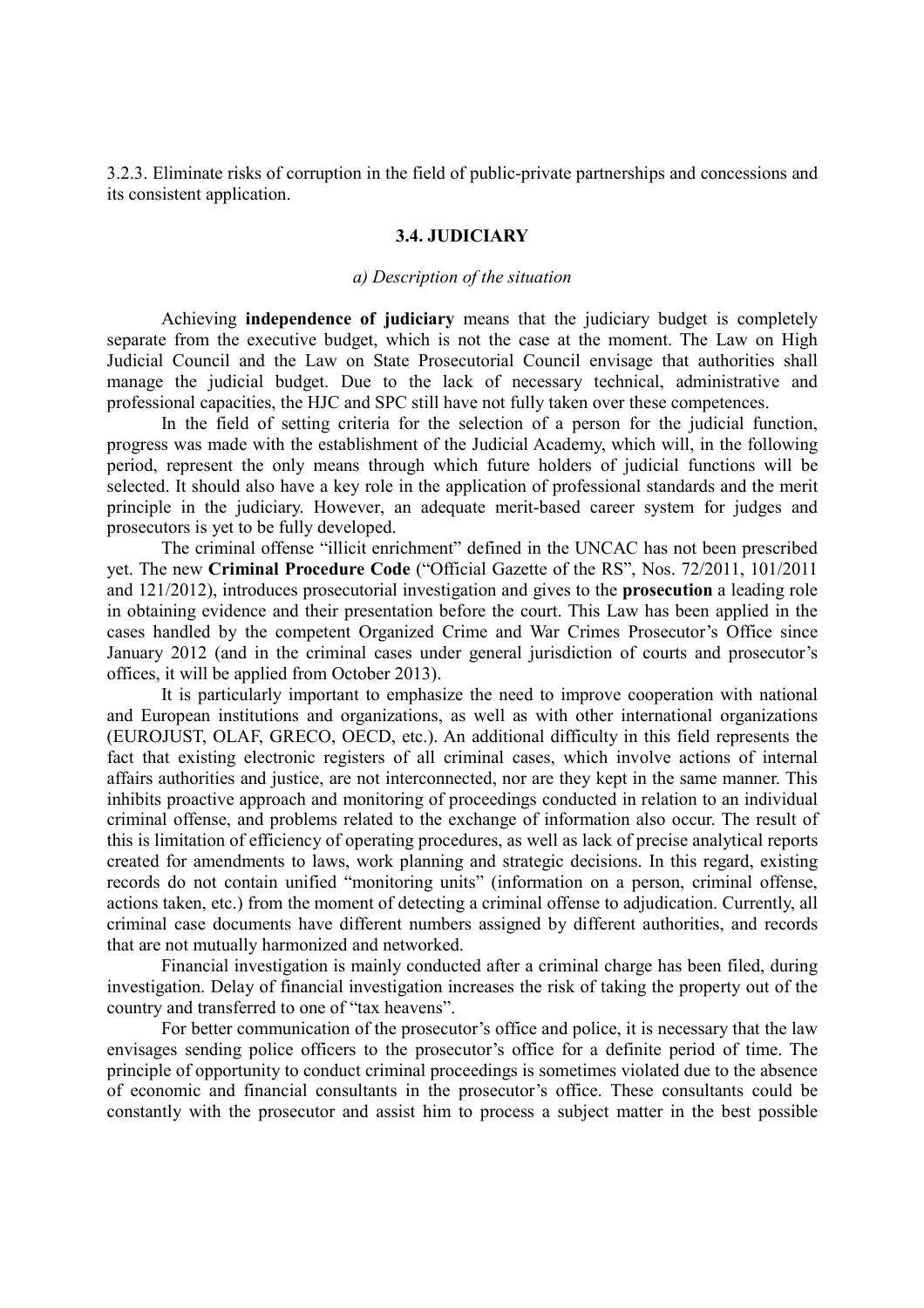3.2.3. Eliminate risks of corruption in the field of public-private partnerships and concessions and its consistent application.

### **3.4. JUDICIARY**

#### *а) Description of the situation*

 Achieving **independence of judiciary** means that the judiciary budget is completely separate from the executive budget, which is not the case at the moment. The Law on High Judicial Council and the Law on State Prosecutorial Council envisage that authorities shall manage the judicial budget. Due to the lack of necessary technical, administrative and professional capacities, the HJC and SPC still have not fully taken over these competences.

In the field of setting criteria for the selection of a person for the judicial function, progress was made with the establishment of the Judicial Academy, which will, in the following period, represent the only means through which future holders of judicial functions will be selected. It should also have a key role in the application of professional standards and the merit principle in the judiciary. However, an adequate merit-based career system for judges and prosecutors is yet to be fully developed.

The criminal offense "illicit enrichment" defined in the UNCAC has not been prescribed yet. The new **Criminal Procedure Code** ("Official Gazette of the RS", Nos. 72/2011, 101/2011 and 121/2012), introduces prosecutorial investigation and gives to the **prosecution** a leading role in obtaining evidence and their presentation before the court. This Law has been applied in the cases handled by the competent Organized Crime and War Crimes Prosecutor's Office since January 2012 (and in the criminal cases under general jurisdiction of courts and prosecutor's offices, it will be applied from October 2013).

It is particularly important to emphasize the need to improve cooperation with national and European institutions and organizations, as well as with other international organizations (EUROJUST, OLAF, GRECO, OECD, etc.). An additional difficulty in this field represents the fact that existing electronic registers of all criminal cases, which involve actions of internal affairs authorities and justice, are not interconnected, nor are they kept in the same manner. This inhibits proactive approach and monitoring of proceedings conducted in relation to an individual criminal offense, and problems related to the exchange of information also occur. The result of this is limitation of efficiency of operating procedures, as well as lack of precise analytical reports created for amendments to laws, work planning and strategic decisions. In this regard, existing records do not contain unified "monitoring units" (information on a person, criminal offense, actions taken, etc.) from the moment of detecting a criminal offense to adjudication. Currently, all criminal case documents have different numbers assigned by different authorities, and records that are not mutually harmonized and networked.

Financial investigation is mainly conducted after a criminal charge has been filed, during investigation. Delay of financial investigation increases the risk of taking the property out of the country and transferred to one of "tax heavens".

For better communication of the prosecutor's office and police, it is necessary that the law envisages sending police officers to the prosecutor's office for a definite period of time. The principle of opportunity to conduct criminal proceedings is sometimes violated due to the absence of economic and financial consultants in the prosecutor's office. These consultants could be constantly with the prosecutor and assist him to process a subject matter in the best possible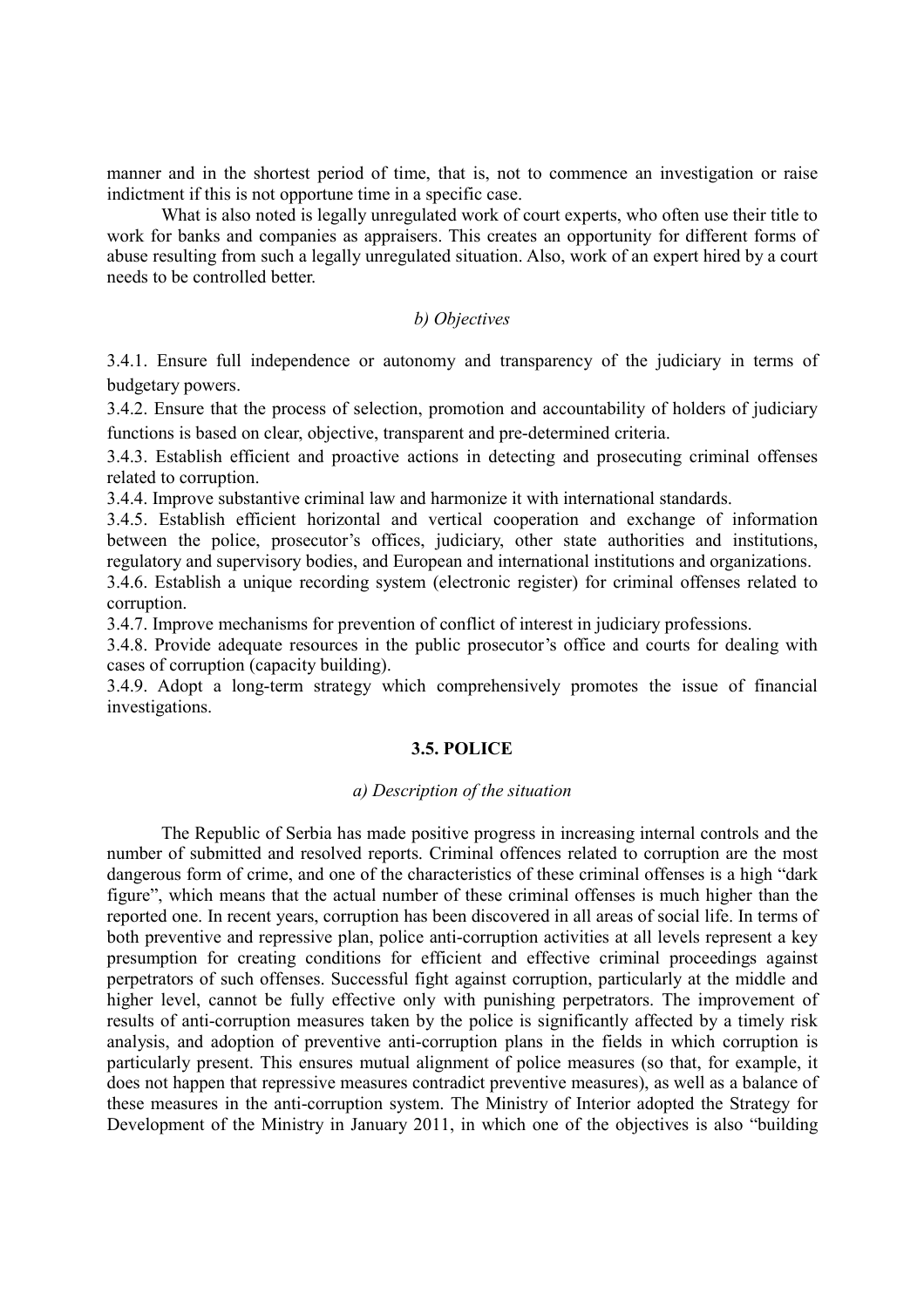manner and in the shortest period of time, that is, not to commence an investigation or raise indictment if this is not opportune time in a specific case.

What is also noted is legally unregulated work of court experts, who often use their title to work for banks and companies as appraisers. This creates an opportunity for different forms of abuse resulting from such a legally unregulated situation. Also, work of an expert hired by a court needs to be controlled better.

# *b) Objectives*

3.4.1. Ensure full independence or autonomy and transparency of the judiciary in terms of budgetary powers.

3.4.2. Ensure that the process of selection, promotion and accountability of holders of judiciary functions is based on clear, objective, transparent and pre-determined criteria.

3.4.3. Establish efficient and proactive actions in detecting and prosecuting criminal offenses related to corruption.

3.4.4. Improve substantive criminal law and harmonize it with international standards.

3.4.5. Establish efficient horizontal and vertical cooperation and exchange of information between the police, prosecutor's offices, judiciary, other state authorities and institutions, regulatory and supervisory bodies, and European and international institutions and organizations.

3.4.6. Establish a unique recording system (electronic register) for criminal offenses related to corruption.

3.4.7. Improve mechanisms for prevention of conflict of interest in judiciary professions.

3.4.8. Provide adequate resources in the public prosecutor's office and courts for dealing with cases of corruption (capacity building).

3.4.9. Adopt a long-term strategy which comprehensively promotes the issue of financial investigations.

#### **3.5. POLICE**

# *а) Description of the situation*

The Republic of Serbia has made positive progress in increasing internal controls and the number of submitted and resolved reports. Criminal offences related to corruption are the most dangerous form of crime, and one of the characteristics of these criminal offenses is a high "dark figure", which means that the actual number of these criminal offenses is much higher than the reported one. In recent years, corruption has been discovered in all areas of social life. In terms of both preventive and repressive plan, police anti-corruption activities at all levels represent a key presumption for creating conditions for efficient and effective criminal proceedings against perpetrators of such offenses. Successful fight against corruption, particularly at the middle and higher level, cannot be fully effective only with punishing perpetrators. The improvement of results of anti-corruption measures taken by the police is significantly affected by a timely risk analysis, and adoption of preventive anti-corruption plans in the fields in which corruption is particularly present. This ensures mutual alignment of police measures (so that, for example, it does not happen that repressive measures contradict preventive measures), as well as a balance of these measures in the anti-corruption system. The Ministry of Interior adopted the Strategy for Development of the Ministry in January 2011, in which one of the objectives is also "building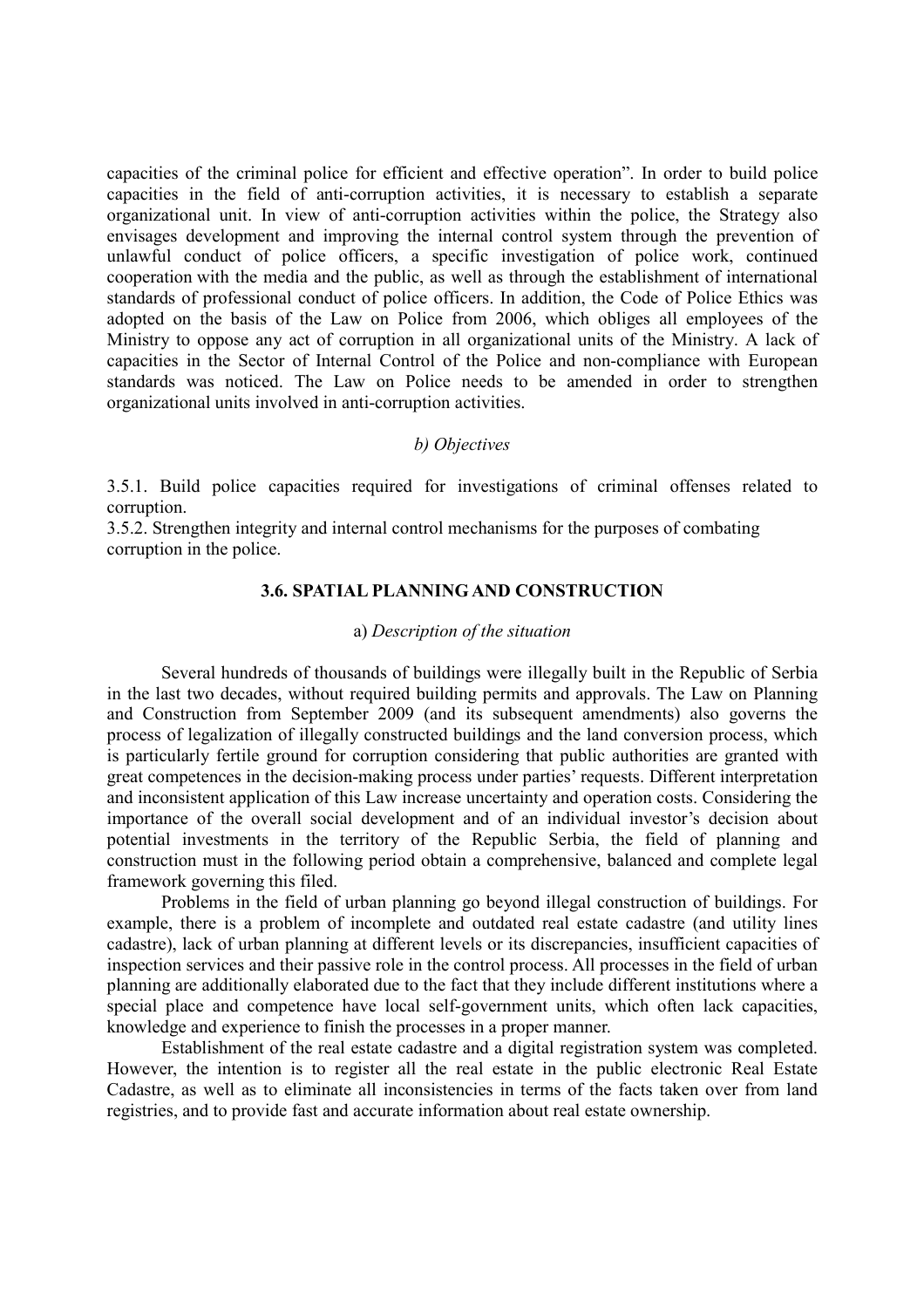capacities of the criminal police for efficient and effective operation". In order to build police capacities in the field of anti-corruption activities, it is necessary to establish a separate organizational unit. In view of anti-corruption activities within the police, the Strategy also envisages development and improving the internal control system through the prevention of unlawful conduct of police officers, a specific investigation of police work, continued cooperation with the media and the public, as well as through the establishment of international standards of professional conduct of police officers. In addition, the Code of Police Ethics was adopted on the basis of the Law on Police from 2006, which obliges all employees of the Ministry to oppose any act of corruption in all organizational units of the Ministry. A lack of capacities in the Sector of Internal Control of the Police and non-compliance with European standards was noticed. The Law on Police needs to be amended in order to strengthen organizational units involved in anti-corruption activities.

# *b) Objectives*

3.5.1. Build police capacities required for investigations of criminal offenses related to corruption.

3.5.2. Strengthen integrity and internal control mechanisms for the purposes of combating corruption in the police.

# **3.6. SPATIAL PLANNING AND CONSTRUCTION**

#### а) *Description of the situation*

Several hundreds of thousands of buildings were illegally built in the Republic of Serbia in the last two decades, without required building permits and approvals. The Law on Planning and Construction from September 2009 (and its subsequent amendments) also governs the process of legalization of illegally constructed buildings and the land conversion process, which is particularly fertile ground for corruption considering that public authorities are granted with great competences in the decision-making process under parties' requests. Different interpretation and inconsistent application of this Law increase uncertainty and operation costs. Considering the importance of the overall social development and of an individual investor's decision about potential investments in the territory of the Republic Serbia, the field of planning and construction must in the following period obtain a comprehensive, balanced and complete legal framework governing this filed.

Problems in the field of urban planning go beyond illegal construction of buildings. For example, there is a problem of incomplete and outdated real estate cadastre (and utility lines cadastre), lack of urban planning at different levels or its discrepancies, insufficient capacities of inspection services and their passive role in the control process. All processes in the field of urban planning are additionally elaborated due to the fact that they include different institutions where a special place and competence have local self-government units, which often lack capacities, knowledge and experience to finish the processes in a proper manner.

Establishment of the real estate cadastre and a digital registration system was completed. However, the intention is to register all the real estate in the public electronic Real Estate Cadastre, as well as to eliminate all inconsistencies in terms of the facts taken over from land registries, and to provide fast and accurate information about real estate ownership.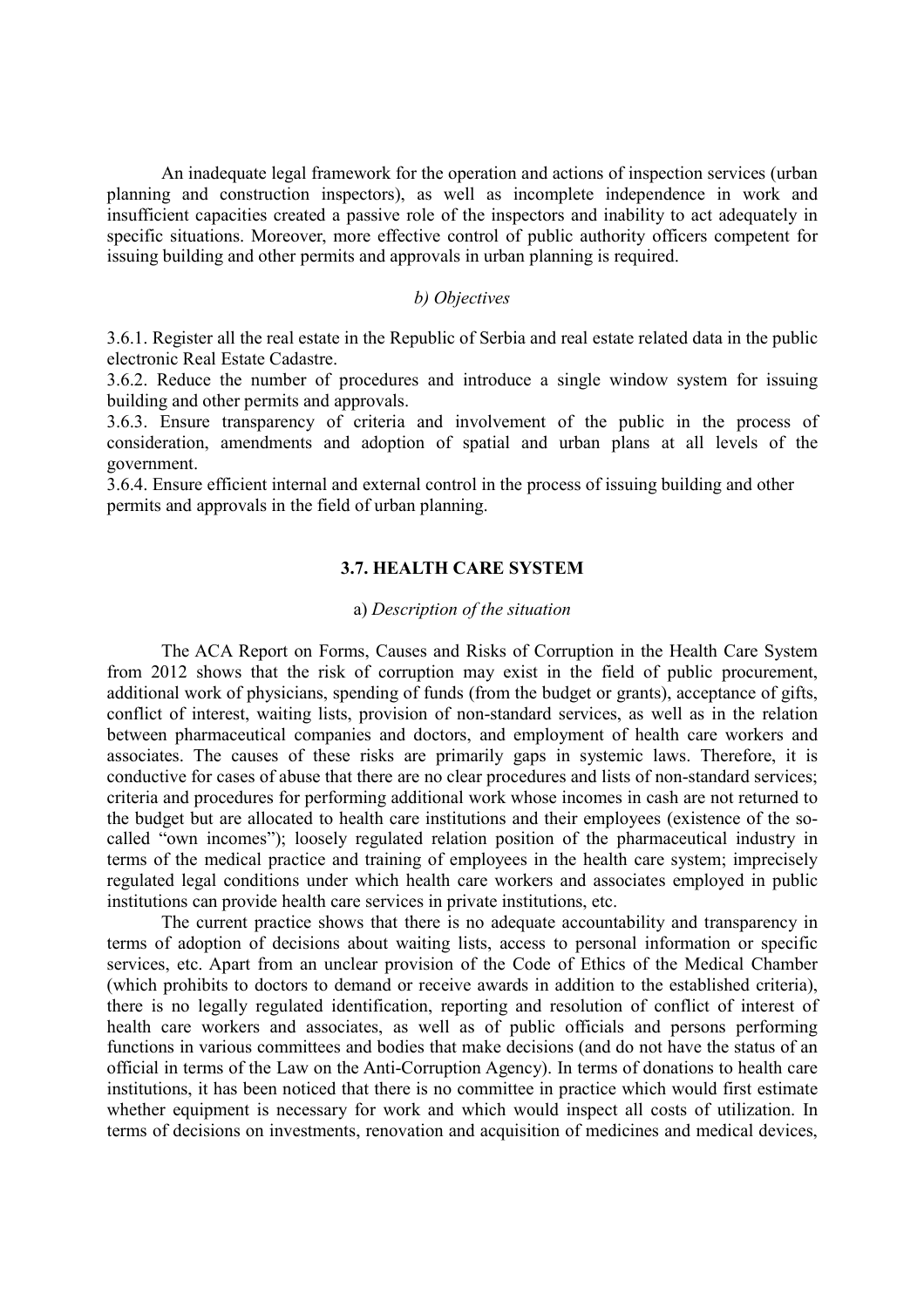An inadequate legal framework for the operation and actions of inspection services (urban planning and construction inspectors), as well as incomplete independence in work and insufficient capacities created a passive role of the inspectors and inability to act adequately in specific situations. Moreover, more effective control of public authority officers competent for issuing building and other permits and approvals in urban planning is required.

# *b) Objectives*

3.6.1. Register all the real estate in the Republic of Serbia and real estate related data in the public electronic Real Estate Cadastre.

3.6.2. Reduce the number of procedures and introduce a single window system for issuing building and other permits and approvals.

3.6.3. Ensure transparency of criteria and involvement of the public in the process of consideration, amendments and adoption of spatial and urban plans at all levels of the government.

3.6.4. Ensure efficient internal and external control in the process of issuing building and other permits and approvals in the field of urban planning.

# **3.7. HEALTH CARE SYSTEM**

### а) *Description of the situation*

The ACA Report on Forms, Causes and Risks of Corruption in the Health Care System from 2012 shows that the risk of corruption may exist in the field of public procurement, additional work of physicians, spending of funds (from the budget or grants), acceptance of gifts, conflict of interest, waiting lists, provision of non-standard services, as well as in the relation between pharmaceutical companies and doctors, and employment of health care workers and associates. The causes of these risks are primarily gaps in systemic laws. Therefore, it is conductive for cases of abuse that there are no clear procedures and lists of non-standard services; criteria and procedures for performing additional work whose incomes in cash are not returned to the budget but are allocated to health care institutions and their employees (existence of the socalled "own incomes"); loosely regulated relation position of the pharmaceutical industry in terms of the medical practice and training of employees in the health care system; imprecisely regulated legal conditions under which health care workers and associates employed in public institutions can provide health care services in private institutions, etc.

The current practice shows that there is no adequate accountability and transparency in terms of adoption of decisions about waiting lists, access to personal information or specific services, etc. Apart from an unclear provision of the Code of Ethics of the Medical Chamber (which prohibits to doctors to demand or receive awards in addition to the established criteria), there is no legally regulated identification, reporting and resolution of conflict of interest of health care workers and associates, as well as of public officials and persons performing functions in various committees and bodies that make decisions (and do not have the status of an official in terms of the Law on the Anti-Corruption Agency). In terms of donations to health care institutions, it has been noticed that there is no committee in practice which would first estimate whether equipment is necessary for work and which would inspect all costs of utilization. In terms of decisions on investments, renovation and acquisition of medicines and medical devices,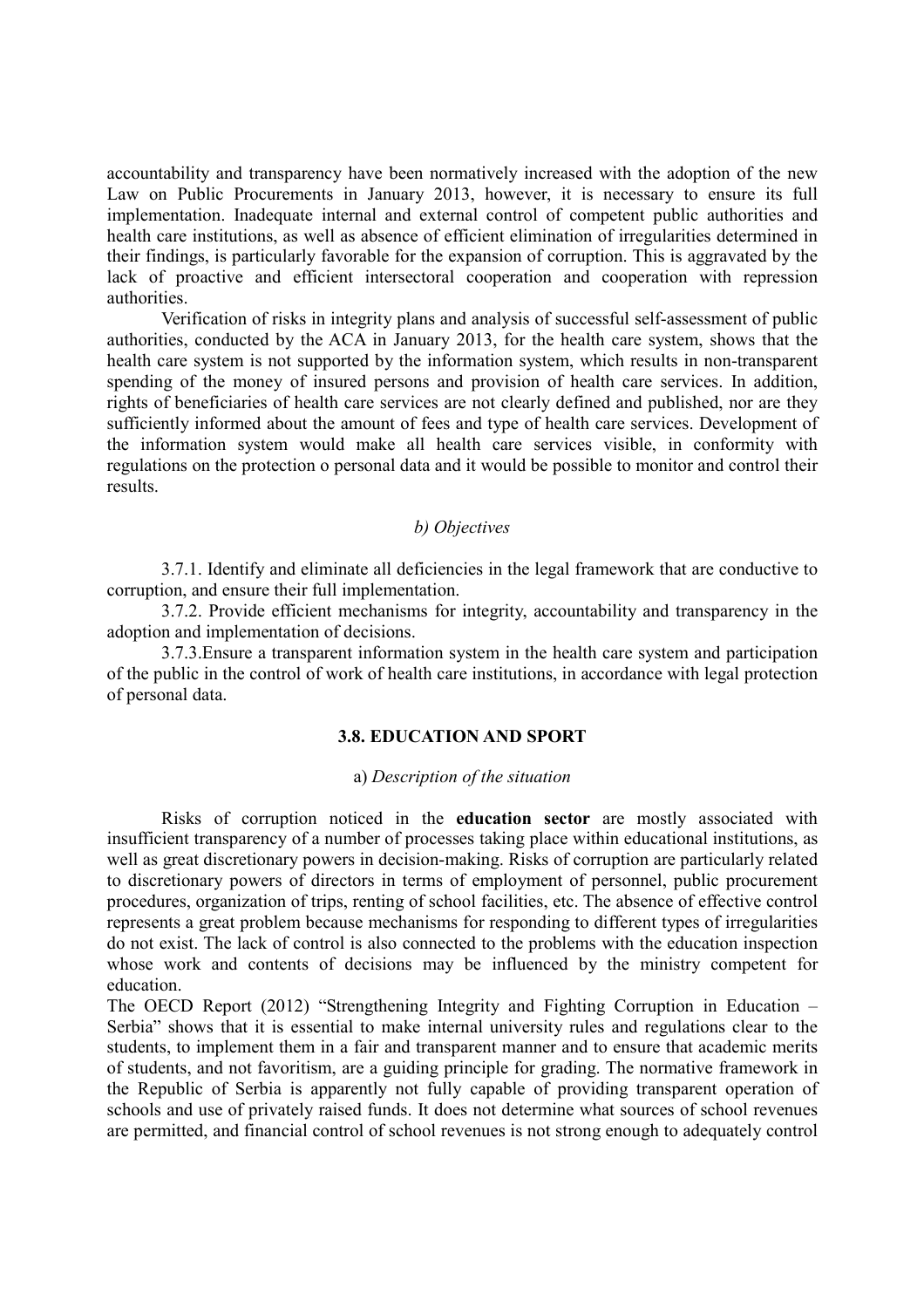accountability and transparency have been normatively increased with the adoption of the new Law on Public Procurements in January 2013, however, it is necessary to ensure its full implementation. Inadequate internal and external control of competent public authorities and health care institutions, as well as absence of efficient elimination of irregularities determined in their findings, is particularly favorable for the expansion of corruption. This is aggravated by the lack of proactive and efficient intersectoral cooperation and cooperation with repression authorities.

Verification of risks in integrity plans and analysis of successful self-assessment of public authorities, conducted by the ACA in January 2013, for the health care system, shows that the health care system is not supported by the information system, which results in non-transparent spending of the money of insured persons and provision of health care services. In addition, rights of beneficiaries of health care services are not clearly defined and published, nor are they sufficiently informed about the amount of fees and type of health care services. Development of the information system would make all health care services visible, in conformity with regulations on the protection o personal data and it would be possible to monitor and control their results.

# *b) Objectives*

3.7.1. Identify and eliminate all deficiencies in the legal framework that are conductive to corruption, and ensure their full implementation.

3.7.2. Provide efficient mechanisms for integrity, accountability and transparency in the adoption and implementation of decisions.

3.7.3.Ensure a transparent information system in the health care system and participation of the public in the control of work of health care institutions, in accordance with legal protection of personal data.

#### **3.8. EDUCATION AND SPORT**

#### а) *Description of the situation*

Risks of corruption noticed in the **education sector** are mostly associated with insufficient transparency of a number of processes taking place within educational institutions, as well as great discretionary powers in decision-making. Risks of corruption are particularly related to discretionary powers of directors in terms of employment of personnel, public procurement procedures, organization of trips, renting of school facilities, etc. The absence of effective control represents a great problem because mechanisms for responding to different types of irregularities do not exist. The lack of control is also connected to the problems with the education inspection whose work and contents of decisions may be influenced by the ministry competent for education.

The OECD Report (2012) "Strengthening Integrity and Fighting Corruption in Education – Serbia" shows that it is essential to make internal university rules and regulations clear to the students, to implement them in a fair and transparent manner and to ensure that academic merits of students, and not favoritism, are a guiding principle for grading. The normative framework in the Republic of Serbia is apparently not fully capable of providing transparent operation of schools and use of privately raised funds. It does not determine what sources of school revenues are permitted, and financial control of school revenues is not strong enough to adequately control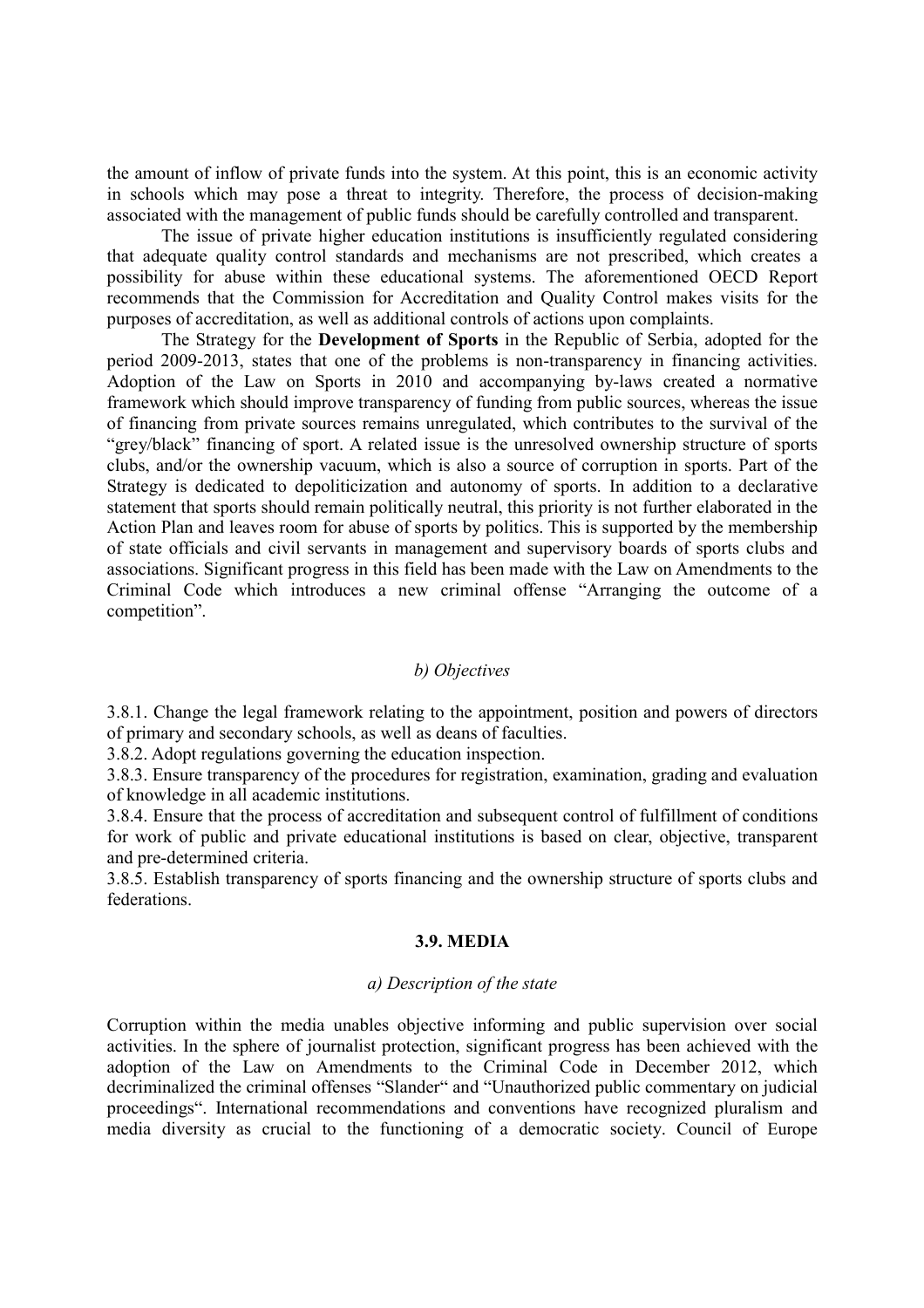the amount of inflow of private funds into the system. At this point, this is an economic activity in schools which may pose a threat to integrity. Therefore, the process of decision-making associated with the management of public funds should be carefully controlled and transparent.

The issue of private higher education institutions is insufficiently regulated considering that adequate quality control standards and mechanisms are not prescribed, which creates a possibility for abuse within these educational systems. The aforementioned OECD Report recommends that the Commission for Accreditation and Quality Control makes visits for the purposes of accreditation, as well as additional controls of actions upon complaints.

The Strategy for the **Development of Sports** in the Republic of Serbia, adopted for the period 2009-2013, states that one of the problems is non-transparency in financing activities. Adoption of the Law on Sports in 2010 and accompanying by-laws created a normative framework which should improve transparency of funding from public sources, whereas the issue of financing from private sources remains unregulated, which contributes to the survival of the "grey/black" financing of sport. A related issue is the unresolved ownership structure of sports clubs, and/or the ownership vacuum, which is also a source of corruption in sports. Part of the Strategy is dedicated to depoliticization and autonomy of sports. In addition to a declarative statement that sports should remain politically neutral, this priority is not further elaborated in the Action Plan and leaves room for abuse of sports by politics. This is supported by the membership of state officials and civil servants in management and supervisory boards of sports clubs and associations. Significant progress in this field has been made with the Law on Amendments to the Criminal Code which introduces a new criminal offense "Arranging the outcome of a competition".

# *b) Objectives*

3.8.1. Change the legal framework relating to the appointment, position and powers of directors of primary and secondary schools, as well as deans of faculties.

3.8.2. Adopt regulations governing the education inspection.

3.8.3. Ensure transparency of the procedures for registration, examination, grading and evaluation of knowledge in all academic institutions.

3.8.4. Ensure that the process of accreditation and subsequent control of fulfillment of conditions for work of public and private educational institutions is based on clear, objective, transparent and pre-determined criteria.

3.8.5. Establish transparency of sports financing and the ownership structure of sports clubs and federations.

# **3.9. MEDIA**

# *а) Description of the state*

Corruption within the media unables objective informing and public supervision over social activities. In the sphere of journalist protection, significant progress has been achieved with the adoption of the Law on Amendments to the Criminal Code in December 2012, which decriminalized the criminal offenses "Slander" and "Unauthorized public commentary on judicial proceedings". International recommendations and conventions have recognized pluralism and media diversity as crucial to the functioning of a democratic society. Council of Europe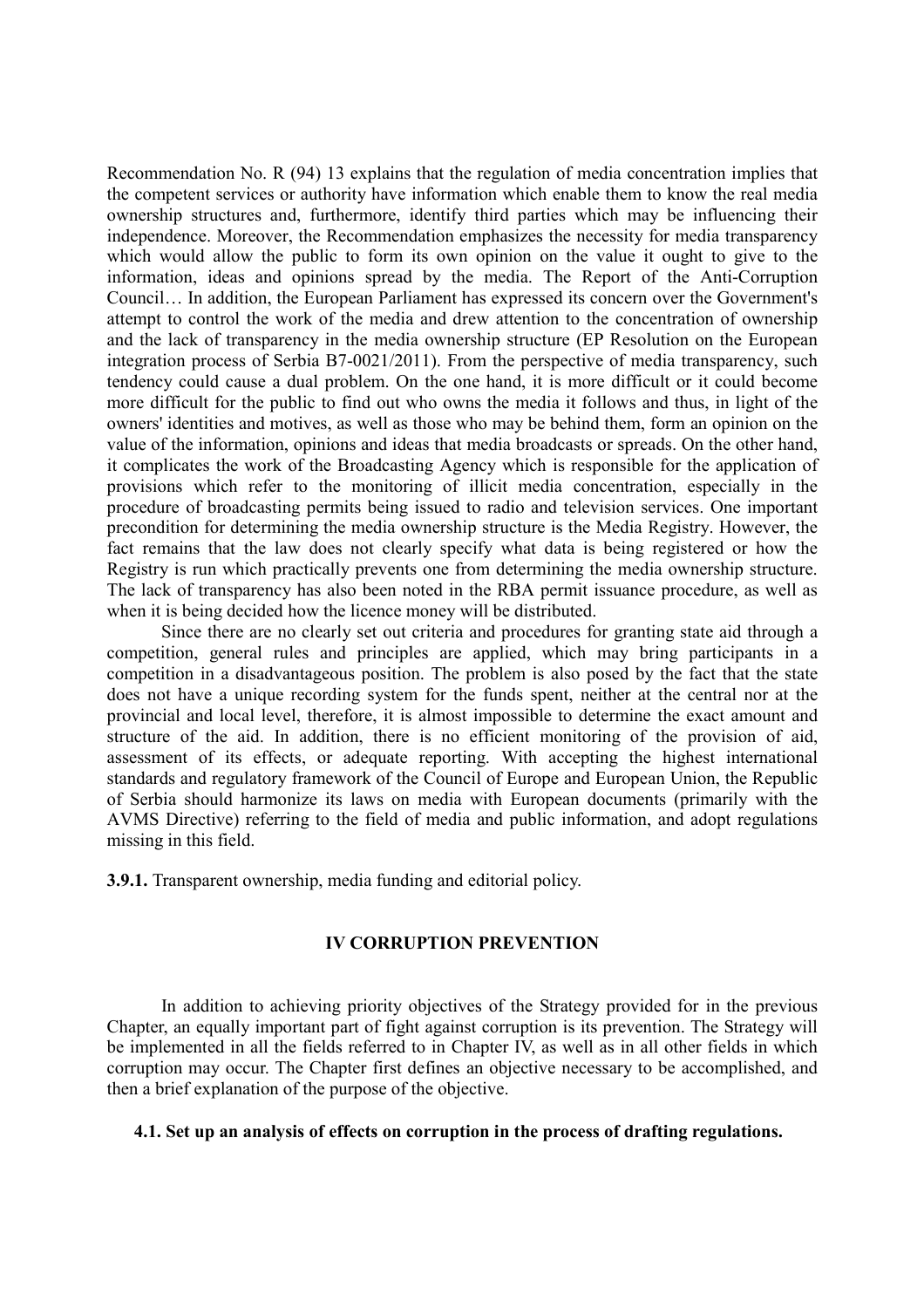Recommendation No. R (94) 13 explains that the regulation of media concentration implies that the competent services or authority have information which enable them to know the real media ownership structures and, furthermore, identify third parties which may be influencing their independence. Moreover, the Recommendation emphasizes the necessity for media transparency which would allow the public to form its own opinion on the value it ought to give to the information, ideas and opinions spread by the media. The Report of the Anti-Corruption Council… In addition, the European Parliament has expressed its concern over the Government's attempt to control the work of the media and drew attention to the concentration of ownership and the lack of transparency in the media ownership structure (EP Resolution on the European integration process of Serbia B7-0021/2011). From the perspective of media transparency, such tendency could cause a dual problem. On the one hand, it is more difficult or it could become more difficult for the public to find out who owns the media it follows and thus, in light of the owners' identities and motives, as well as those who may be behind them, form an opinion on the value of the information, opinions and ideas that media broadcasts or spreads. On the other hand, it complicates the work of the Broadcasting Agency which is responsible for the application of provisions which refer to the monitoring of illicit media concentration, especially in the procedure of broadcasting permits being issued to radio and television services. One important precondition for determining the media ownership structure is the Media Registry. However, the fact remains that the law does not clearly specify what data is being registered or how the Registry is run which practically prevents one from determining the media ownership structure. The lack of transparency has also been noted in the RBA permit issuance procedure, as well as when it is being decided how the licence money will be distributed.

 Since there are no clearly set out criteria and procedures for granting state aid through a competition, general rules and principles are applied, which may bring participants in a competition in a disadvantageous position. The problem is also posed by the fact that the state does not have a unique recording system for the funds spent, neither at the central nor at the provincial and local level, therefore, it is almost impossible to determine the exact amount and structure of the aid. In addition, there is no efficient monitoring of the provision of aid, assessment of its effects, or adequate reporting. With accepting the highest international standards and regulatory framework of the Council of Europe and European Union, the Republic of Serbia should harmonize its laws on media with European documents (primarily with the AVMS Directive) referring to the field of media and public information, and adopt regulations missing in this field.

**3.9.1.** Transparent ownership, media funding and editorial policy.

# **IV CORRUPTION PREVENTION**

In addition to achieving priority objectives of the Strategy provided for in the previous Chapter, an equally important part of fight against corruption is its prevention. The Strategy will be implemented in all the fields referred to in Chapter IV, as well as in all other fields in which corruption may occur. The Chapter first defines an objective necessary to be accomplished, and then a brief explanation of the purpose of the objective.

# **4.1. Set up an analysis of effects on corruption in the process of drafting regulations.**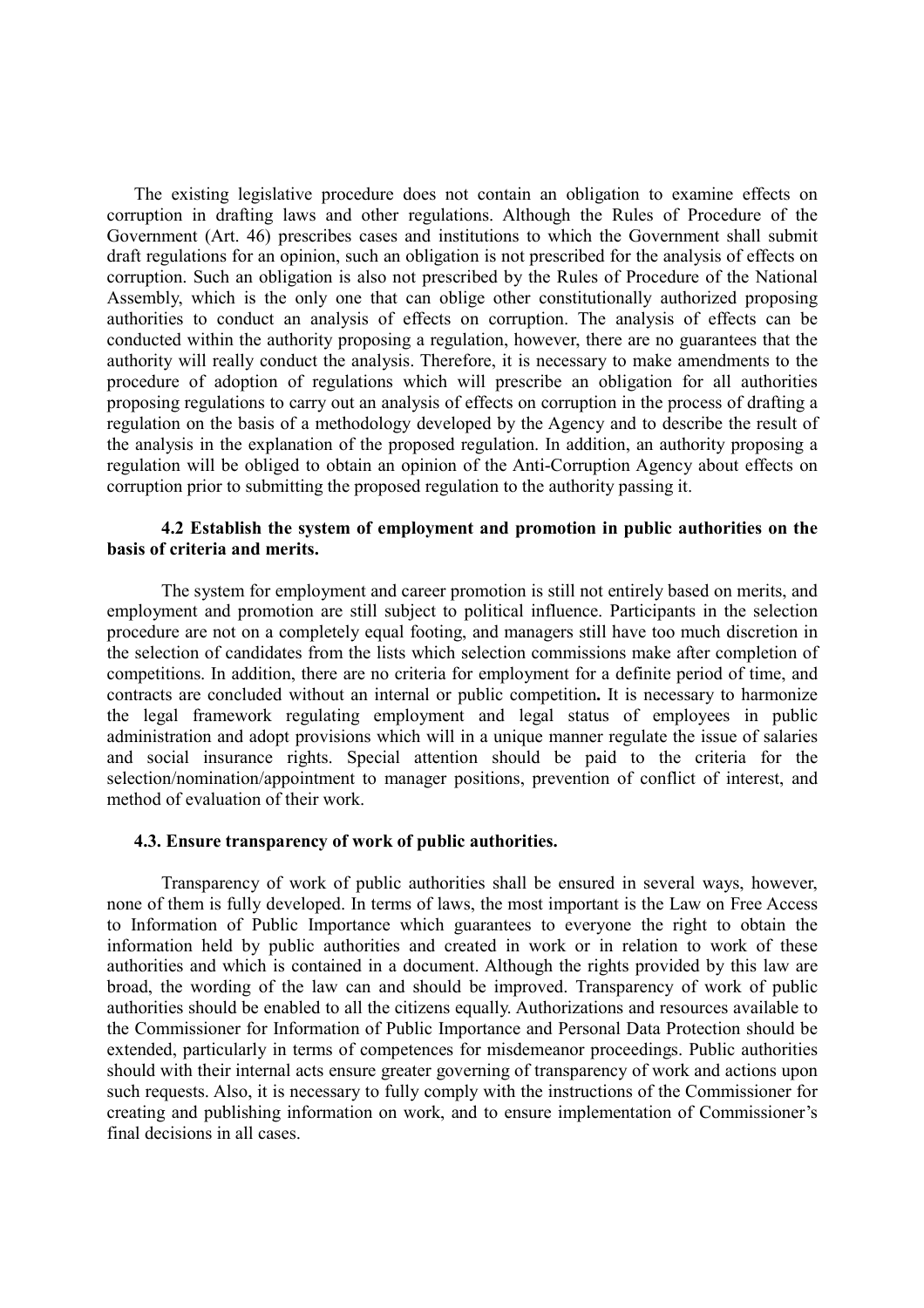The existing legislative procedure does not contain an obligation to examine effects on corruption in drafting laws and other regulations. Although the Rules of Procedure of the Government (Art. 46) prescribes cases and institutions to which the Government shall submit draft regulations for an opinion, such an obligation is not prescribed for the analysis of effects on corruption. Such an obligation is also not prescribed by the Rules of Procedure of the National Assembly, which is the only one that can oblige other constitutionally authorized proposing authorities to conduct an analysis of effects on corruption. The analysis of effects can be conducted within the authority proposing a regulation, however, there are no guarantees that the authority will really conduct the analysis. Therefore, it is necessary to make amendments to the procedure of adoption of regulations which will prescribe an obligation for all authorities proposing regulations to carry out an analysis of effects on corruption in the process of drafting a regulation on the basis of a methodology developed by the Agency and to describe the result of the analysis in the explanation of the proposed regulation. In addition, an authority proposing a regulation will be obliged to obtain an opinion of the Anti-Corruption Agency about effects on corruption prior to submitting the proposed regulation to the authority passing it.

# **4.2 Establish the system of employment and promotion in public authorities on the basis of criteria and merits.**

The system for employment and career promotion is still not entirely based on merits, and employment and promotion are still subject to political influence. Participants in the selection procedure are not on a completely equal footing, and managers still have too much discretion in the selection of candidates from the lists which selection commissions make after completion of competitions. In addition, there are no criteria for employment for a definite period of time, and contracts are concluded without an internal or public competition**.** It is necessary to harmonize the legal framework regulating employment and legal status of employees in public administration and adopt provisions which will in a unique manner regulate the issue of salaries and social insurance rights. Special attention should be paid to the criteria for the selection/nomination/appointment to manager positions, prevention of conflict of interest, and method of evaluation of their work.

### **4.3. Ensure transparency of work of public authorities.**

Transparency of work of public authorities shall be ensured in several ways, however, none of them is fully developed. In terms of laws, the most important is the Law on Free Access to Information of Public Importance which guarantees to everyone the right to obtain the information held by public authorities and created in work or in relation to work of these authorities and which is contained in a document. Although the rights provided by this law are broad, the wording of the law can and should be improved. Transparency of work of public authorities should be enabled to all the citizens equally. Authorizations and resources available to the Commissioner for Information of Public Importance and Personal Data Protection should be extended, particularly in terms of competences for misdemeanor proceedings. Public authorities should with their internal acts ensure greater governing of transparency of work and actions upon such requests. Also, it is necessary to fully comply with the instructions of the Commissioner for creating and publishing information on work, and to ensure implementation of Commissioner's final decisions in all cases.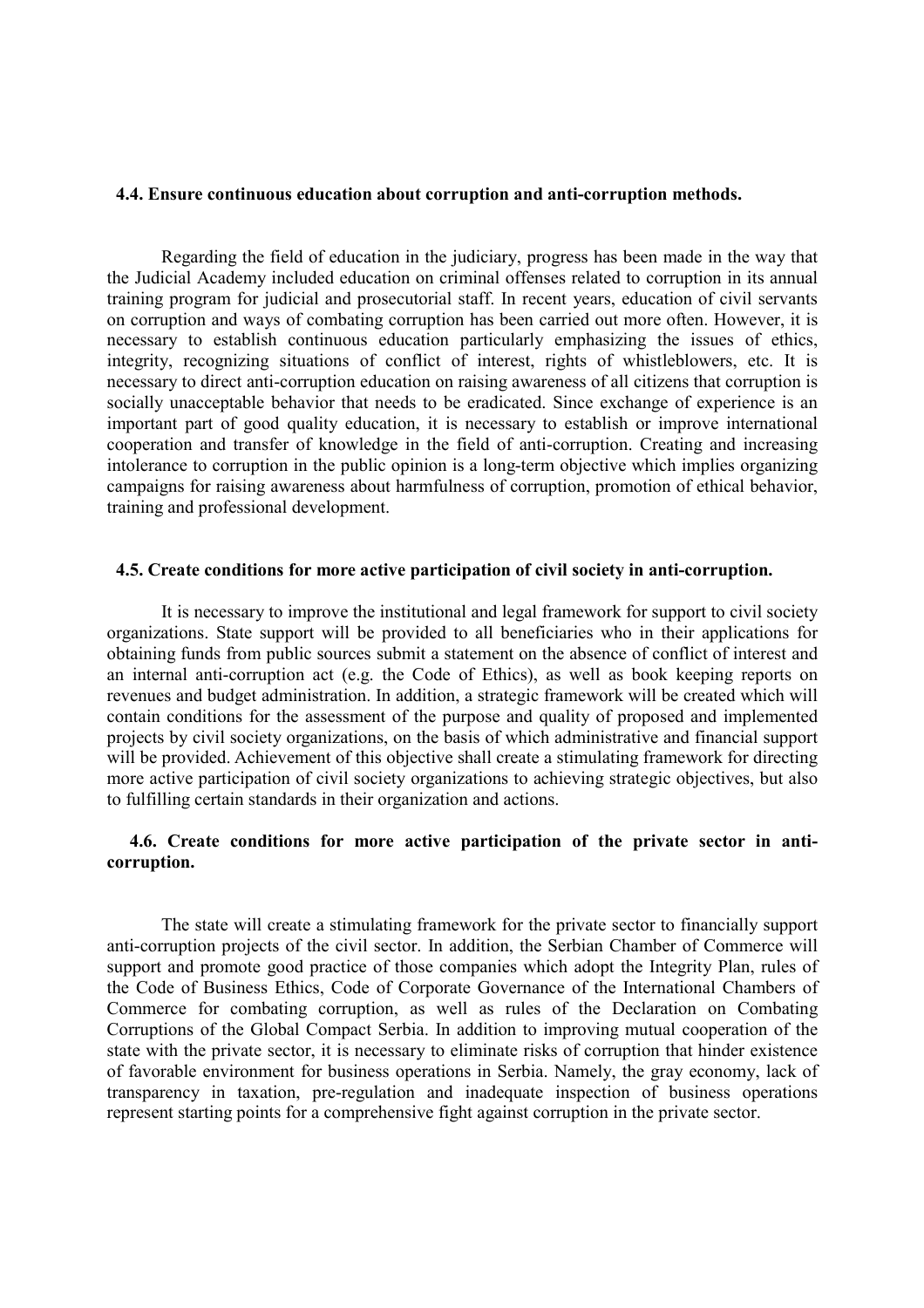# **4.4. Ensure continuous education about corruption and anti-corruption methods.**

Regarding the field of education in the judiciary, progress has been made in the way that the Judicial Academy included education on criminal offenses related to corruption in its annual training program for judicial and prosecutorial staff. In recent years, education of civil servants on corruption and ways of combating corruption has been carried out more often. However, it is necessary to establish continuous education particularly emphasizing the issues of ethics, integrity, recognizing situations of conflict of interest, rights of whistleblowers, etc. It is necessary to direct anti-corruption education on raising awareness of all citizens that corruption is socially unacceptable behavior that needs to be eradicated. Since exchange of experience is an important part of good quality education, it is necessary to establish or improve international cooperation and transfer of knowledge in the field of anti-corruption. Creating and increasing intolerance to corruption in the public opinion is a long-term objective which implies organizing campaigns for raising awareness about harmfulness of corruption, promotion of ethical behavior, training and professional development.

### **4.5. Create conditions for more active participation of civil society in anti-corruption.**

It is necessary to improve the institutional and legal framework for support to civil society organizations. State support will be provided to all beneficiaries who in their applications for obtaining funds from public sources submit a statement on the absence of conflict of interest and an internal anti-corruption act (e.g. the Code of Ethics), as well as book keeping reports on revenues and budget administration. In addition, a strategic framework will be created which will contain conditions for the assessment of the purpose and quality of proposed and implemented projects by civil society organizations, on the basis of which administrative and financial support will be provided. Achievement of this objective shall create a stimulating framework for directing more active participation of civil society organizations to achieving strategic objectives, but also to fulfilling certain standards in their organization and actions.

# **4.6. Create conditions for more active participation of the private sector in anticorruption.**

The state will create a stimulating framework for the private sector to financially support anti-corruption projects of the civil sector. In addition, the Serbian Chamber of Commerce will support and promote good practice of those companies which adopt the Integrity Plan, rules of the Code of Business Ethics, Code of Corporate Governance of the International Chambers of Commerce for combating corruption, as well as rules of the Declaration on Combating Corruptions of the Global Compact Serbia. In addition to improving mutual cooperation of the state with the private sector, it is necessary to eliminate risks of corruption that hinder existence of favorable environment for business operations in Serbia. Namely, the gray economy, lack of transparency in taxation, pre-regulation and inadequate inspection of business operations represent starting points for a comprehensive fight against corruption in the private sector.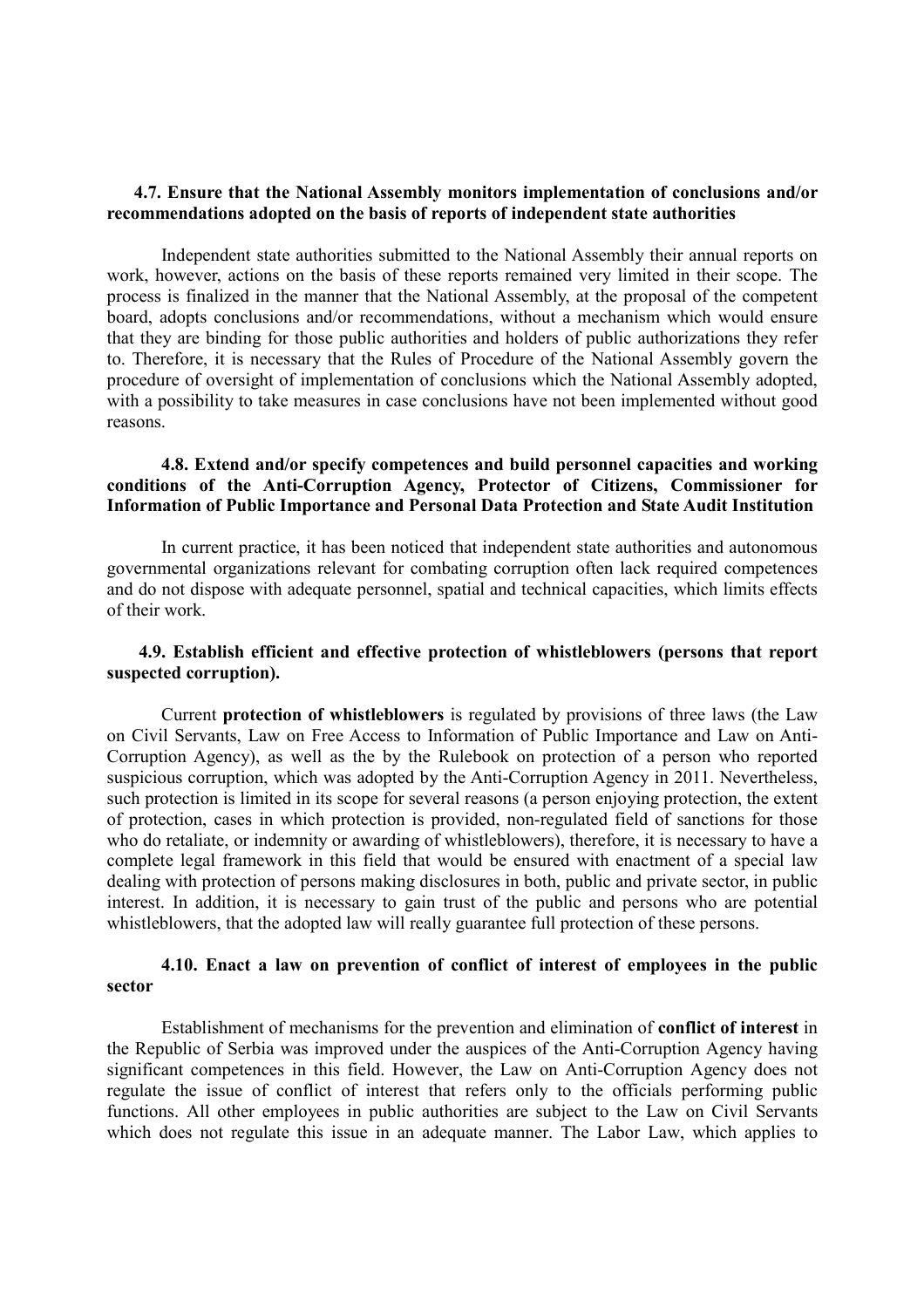# **4.7. Ensure that the National Assembly monitors implementation of conclusions and/or recommendations adopted on the basis of reports of independent state authorities**

Independent state authorities submitted to the National Assembly their annual reports on work, however, actions on the basis of these reports remained very limited in their scope. The process is finalized in the manner that the National Assembly, at the proposal of the competent board, adopts conclusions and/or recommendations, without a mechanism which would ensure that they are binding for those public authorities and holders of public authorizations they refer to. Therefore, it is necessary that the Rules of Procedure of the National Assembly govern the procedure of oversight of implementation of conclusions which the National Assembly adopted, with a possibility to take measures in case conclusions have not been implemented without good reasons.

# **4.8. Extend and/or specify competences and build personnel capacities and working conditions of the Anti-Corruption Agency, Protector of Citizens, Commissioner for Information of Public Importance and Personal Data Protection and State Audit Institution**

In current practice, it has been noticed that independent state authorities and autonomous governmental organizations relevant for combating corruption often lack required competences and do not dispose with adequate personnel, spatial and technical capacities, which limits effects of their work.

# **4.9. Establish efficient and effective protection of whistleblowers (persons that report suspected corruption).**

Current **protection of whistleblowers** is regulated by provisions of three laws (the Law on Civil Servants, Law on Free Access to Information of Public Importance and Law on Anti-Corruption Agency), as well as the by the Rulebook on protection of a person who reported suspicious corruption, which was adopted by the Anti-Corruption Agency in 2011. Nevertheless, such protection is limited in its scope for several reasons (a person enjoying protection, the extent of protection, cases in which protection is provided, non-regulated field of sanctions for those who do retaliate, or indemnity or awarding of whistleblowers), therefore, it is necessary to have a complete legal framework in this field that would be ensured with enactment of a special law dealing with protection of persons making disclosures in both, public and private sector, in public interest. In addition, it is necessary to gain trust of the public and persons who are potential whistleblowers, that the adopted law will really guarantee full protection of these persons.

# **4.10. Enact a law on prevention of conflict of interest of employees in the public sector**

Establishment of mechanisms for the prevention and elimination of **conflict of interest** in the Republic of Serbia was improved under the auspices of the Anti-Corruption Agency having significant competences in this field. However, the Law on Anti-Corruption Agency does not regulate the issue of conflict of interest that refers only to the officials performing public functions. All other employees in public authorities are subject to the Law on Civil Servants which does not regulate this issue in an adequate manner. The Labor Law, which applies to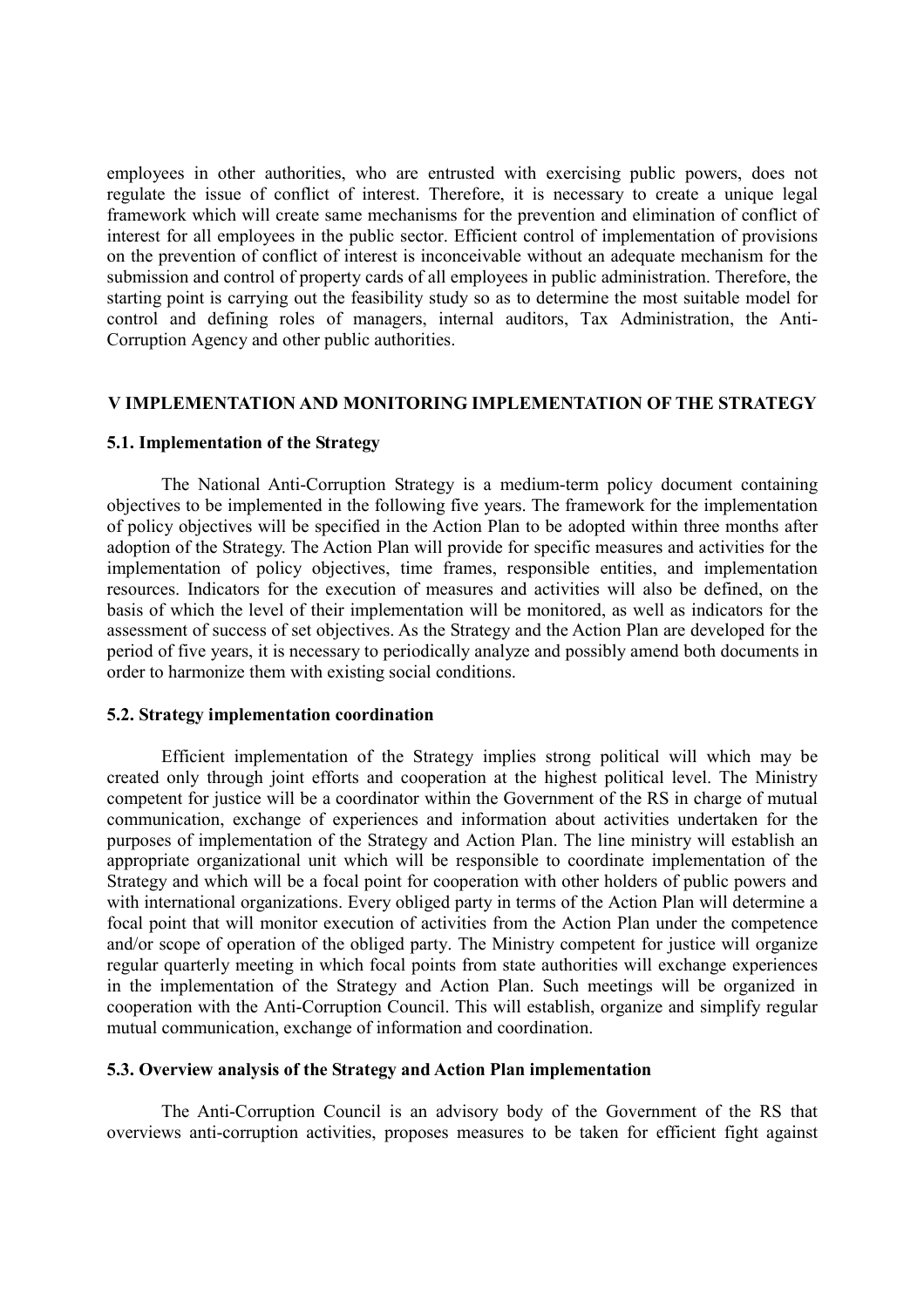employees in other authorities, who are entrusted with exercising public powers, does not regulate the issue of conflict of interest. Therefore, it is necessary to create a unique legal framework which will create same mechanisms for the prevention and elimination of conflict of interest for all employees in the public sector. Efficient control of implementation of provisions on the prevention of conflict of interest is inconceivable without an adequate mechanism for the submission and control of property cards of all employees in public administration. Therefore, the starting point is carrying out the feasibility study so as to determine the most suitable model for control and defining roles of managers, internal auditors, Tax Administration, the Anti-Corruption Agency and other public authorities.

# **V IMPLEMENTATION AND MONITORING IMPLEMENTATION OF THE STRATEGY**

# **5.1. Implementation of the Strategy**

The National Anti-Corruption Strategy is a medium-term policy document containing objectives to be implemented in the following five years. The framework for the implementation of policy objectives will be specified in the Action Plan to be adopted within three months after adoption of the Strategy. The Action Plan will provide for specific measures and activities for the implementation of policy objectives, time frames, responsible entities, and implementation resources. Indicators for the execution of measures and activities will also be defined, on the basis of which the level of their implementation will be monitored, as well as indicators for the assessment of success of set objectives. As the Strategy and the Action Plan are developed for the period of five years, it is necessary to periodically analyze and possibly amend both documents in order to harmonize them with existing social conditions.

# **5.2. Strategy implementation coordination**

Efficient implementation of the Strategy implies strong political will which may be created only through joint efforts and cooperation at the highest political level. The Ministry competent for justice will be a coordinator within the Government of the RS in charge of mutual communication, exchange of experiences and information about activities undertaken for the purposes of implementation of the Strategy and Action Plan. The line ministry will establish an appropriate organizational unit which will be responsible to coordinate implementation of the Strategy and which will be a focal point for cooperation with other holders of public powers and with international organizations. Every obliged party in terms of the Action Plan will determine a focal point that will monitor execution of activities from the Action Plan under the competence and/or scope of operation of the obliged party. The Ministry competent for justice will organize regular quarterly meeting in which focal points from state authorities will exchange experiences in the implementation of the Strategy and Action Plan. Such meetings will be organized in cooperation with the Anti-Corruption Council. This will establish, organize and simplify regular mutual communication, exchange of information and coordination.

# **5.3. Overview analysis of the Strategy and Action Plan implementation**

The Anti-Corruption Council is an advisory body of the Government of the RS that overviews anti-corruption activities, proposes measures to be taken for efficient fight against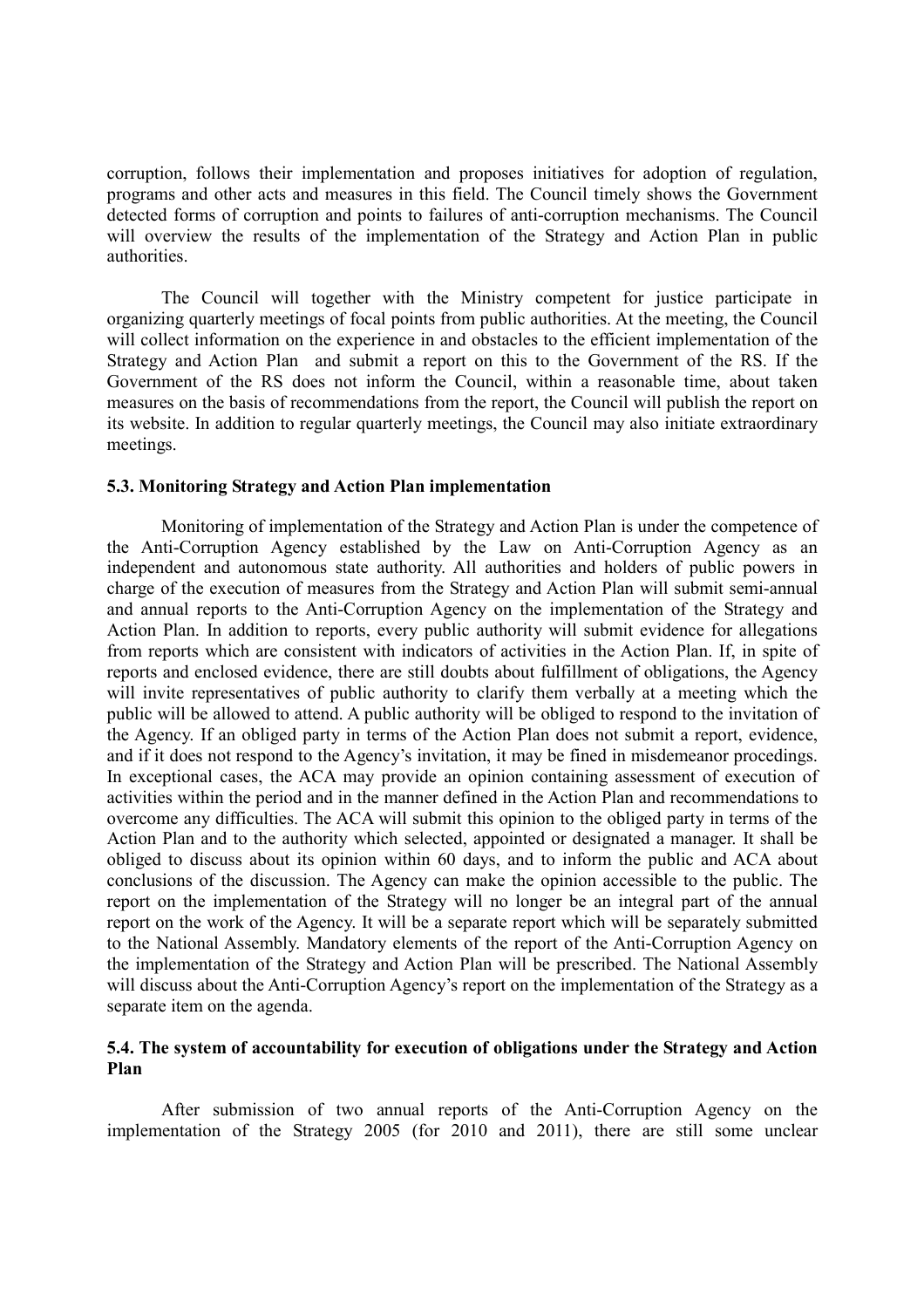corruption, follows their implementation and proposes initiatives for adoption of regulation, programs and other acts and measures in this field. The Council timely shows the Government detected forms of corruption and points to failures of anti-corruption mechanisms. The Council will overview the results of the implementation of the Strategy and Action Plan in public authorities.

The Council will together with the Ministry competent for justice participate in organizing quarterly meetings of focal points from public authorities. At the meeting, the Council will collect information on the experience in and obstacles to the efficient implementation of the Strategy and Action Plan and submit a report on this to the Government of the RS. If the Government of the RS does not inform the Council, within a reasonable time, about taken measures on the basis of recommendations from the report, the Council will publish the report on its website. In addition to regular quarterly meetings, the Council may also initiate extraordinary meetings.

# **5.3. Monitoring Strategy and Action Plan implementation**

Monitoring of implementation of the Strategy and Action Plan is under the competence of the Anti-Corruption Agency established by the Law on Anti-Corruption Agency as an independent and autonomous state authority. All authorities and holders of public powers in charge of the execution of measures from the Strategy and Action Plan will submit semi-annual and annual reports to the Anti-Corruption Agency on the implementation of the Strategy and Action Plan. In addition to reports, every public authority will submit evidence for allegations from reports which are consistent with indicators of activities in the Action Plan. If, in spite of reports and enclosed evidence, there are still doubts about fulfillment of obligations, the Agency will invite representatives of public authority to clarify them verbally at a meeting which the public will be allowed to attend. A public authority will be obliged to respond to the invitation of the Agency. If an obliged party in terms of the Action Plan does not submit a report, evidence, and if it does not respond to the Agency's invitation, it may be fined in misdemeanor procedings. In exceptional cases, the ACA may provide an opinion containing assessment of execution of activities within the period and in the manner defined in the Action Plan and recommendations to overcome any difficulties. The ACA will submit this opinion to the obliged party in terms of the Action Plan and to the authority which selected, appointed or designated a manager. It shall be obliged to discuss about its opinion within 60 days, and to inform the public and ACA about conclusions of the discussion. The Agency can make the opinion accessible to the public. The report on the implementation of the Strategy will no longer be an integral part of the annual report on the work of the Agency. It will be a separate report which will be separately submitted to the National Assembly. Mandatory elements of the report of the Anti-Corruption Agency on the implementation of the Strategy and Action Plan will be prescribed. The National Assembly will discuss about the Anti-Corruption Agency's report on the implementation of the Strategy as a separate item on the agenda.

# **5.4. The system of accountability for execution of obligations under the Strategy and Action Plan**

After submission of two annual reports of the Anti-Corruption Agency on the implementation of the Strategy 2005 (for 2010 and 2011), there are still some unclear